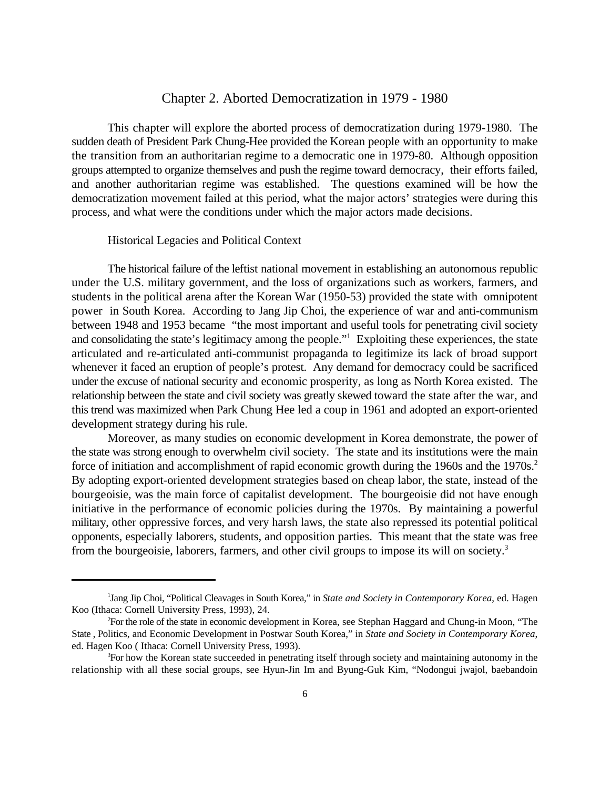## Chapter 2. Aborted Democratization in 1979 - 1980

This chapter will explore the aborted process of democratization during 1979-1980. The sudden death of President Park Chung-Hee provided the Korean people with an opportunity to make the transition from an authoritarian regime to a democratic one in 1979-80. Although opposition groups attempted to organize themselves and push the regime toward democracy, their efforts failed, and another authoritarian regime was established. The questions examined will be how the democratization movement failed at this period, what the major actors' strategies were during this process, and what were the conditions under which the major actors made decisions.

#### Historical Legacies and Political Context

The historical failure of the leftist national movement in establishing an autonomous republic under the U.S. military government, and the loss of organizations such as workers, farmers, and students in the political arena after the Korean War (1950-53) provided the state with omnipotent power in South Korea. According to Jang Jip Choi, the experience of war and anti-communism between 1948 and 1953 became "the most important and useful tools for penetrating civil society and consolidating the state's legitimacy among the people."<sup>1</sup> Exploiting these experiences, the state articulated and re-articulated anti-communist propaganda to legitimize its lack of broad support whenever it faced an eruption of people's protest. Any demand for democracy could be sacrificed under the excuse of national security and economic prosperity, as long as North Korea existed. The relationship between the state and civil society was greatly skewed toward the state after the war, and this trend was maximized when Park Chung Hee led a coup in 1961 and adopted an export-oriented development strategy during his rule.

Moreover, as many studies on economic development in Korea demonstrate, the power of the state was strong enough to overwhelm civil society. The state and its institutions were the main force of initiation and accomplishment of rapid economic growth during the 1960s and the 1970s.<sup>2</sup> By adopting export-oriented development strategies based on cheap labor, the state, instead of the bourgeoisie, was the main force of capitalist development. The bourgeoisie did not have enough initiative in the performance of economic policies during the 1970s. By maintaining a powerful military, other oppressive forces, and very harsh laws, the state also repressed its potential political opponents, especially laborers, students, and opposition parties. This meant that the state was free from the bourgeoisie, laborers, farmers, and other civil groups to impose its will on society.3

<sup>&</sup>lt;sup>1</sup>Jang Jip Choi, "Political Cleavages in South Korea," in *State and Society in Contemporary Korea*, ed. Hagen Koo (Ithaca: Cornell University Press, 1993), 24.

For the role of the state in economic development in Korea, see Stephan Haggard and Chung-in Moon, "The <sup>2</sup> State , Politics, and Economic Development in Postwar South Korea," in *State and Society in Contemporary Korea*, ed. Hagen Koo ( Ithaca: Cornell University Press, 1993).

 ${}^{3}$ For how the Korean state succeeded in penetrating itself through society and maintaining autonomy in the relationship with all these social groups, see Hyun-Jin Im and Byung-Guk Kim, "Nodongui jwajol, baebandoin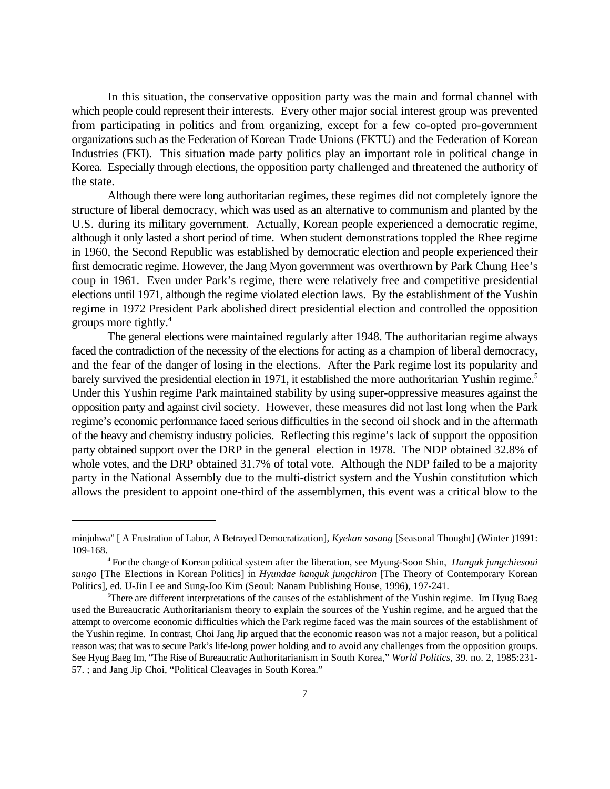In this situation, the conservative opposition party was the main and formal channel with which people could represent their interests. Every other major social interest group was prevented from participating in politics and from organizing, except for a few co-opted pro-government organizations such as the Federation of Korean Trade Unions (FKTU) and the Federation of Korean Industries (FKI). This situation made party politics play an important role in political change in Korea. Especially through elections, the opposition party challenged and threatened the authority of the state.

Although there were long authoritarian regimes, these regimes did not completely ignore the structure of liberal democracy, which was used as an alternative to communism and planted by the U.S. during its military government. Actually, Korean people experienced a democratic regime, although it only lasted a short period of time. When student demonstrations toppled the Rhee regime in 1960, the Second Republic was established by democratic election and people experienced their first democratic regime. However, the Jang Myon government was overthrown by Park Chung Hee's coup in 1961. Even under Park's regime, there were relatively free and competitive presidential elections until 1971, although the regime violated election laws. By the establishment of the Yushin regime in 1972 President Park abolished direct presidential election and controlled the opposition groups more tightly.<sup>4</sup>

The general elections were maintained regularly after 1948. The authoritarian regime always faced the contradiction of the necessity of the elections for acting as a champion of liberal democracy, and the fear of the danger of losing in the elections. After the Park regime lost its popularity and barely survived the presidential election in 1971, it established the more authoritarian Yushin regime.<sup>5</sup> Under this Yushin regime Park maintained stability by using super-oppressive measures against the opposition party and against civil society. However, these measures did not last long when the Park regime's economic performance faced serious difficulties in the second oil shock and in the aftermath of the heavy and chemistry industry policies. Reflecting this regime's lack of support the opposition party obtained support over the DRP in the general election in 1978. The NDP obtained 32.8% of whole votes, and the DRP obtained 31.7% of total vote. Although the NDP failed to be a majority party in the National Assembly due to the multi-district system and the Yushin constitution which allows the president to appoint one-third of the assemblymen, this event was a critical blow to the

minjuhwa" [ A Frustration of Labor, A Betrayed Democratization], *Kyekan sasang* [Seasonal Thought] (Winter )1991: 109-168.

For the change of Korean political system after the liberation, see Myung-Soon Shin, *Hanguk jungchiesoui* <sup>4</sup> *sungo* [The Elections in Korean Politics] in *Hyundae hanguk jungchiron* [The Theory of Contemporary Korean Politics], ed. U-Jin Lee and Sung-Joo Kim (Seoul: Nanam Publishing House, 1996), 197-241.

<sup>&</sup>lt;sup>5</sup>There are different interpretations of the causes of the establishment of the Yushin regime. Im Hyug Baeg used the Bureaucratic Authoritarianism theory to explain the sources of the Yushin regime, and he argued that the attempt to overcome economic difficulties which the Park regime faced was the main sources of the establishment of the Yushin regime. In contrast, Choi Jang Jip argued that the economic reason was not a major reason, but a political reason was; that was to secure Park's life-long power holding and to avoid any challenges from the opposition groups. See Hyug Baeg Im, "The Rise of Bureaucratic Authoritarianism in South Korea," *World Politics*, 39. no. 2, 1985:231- 57. ; and Jang Jip Choi, "Political Cleavages in South Korea."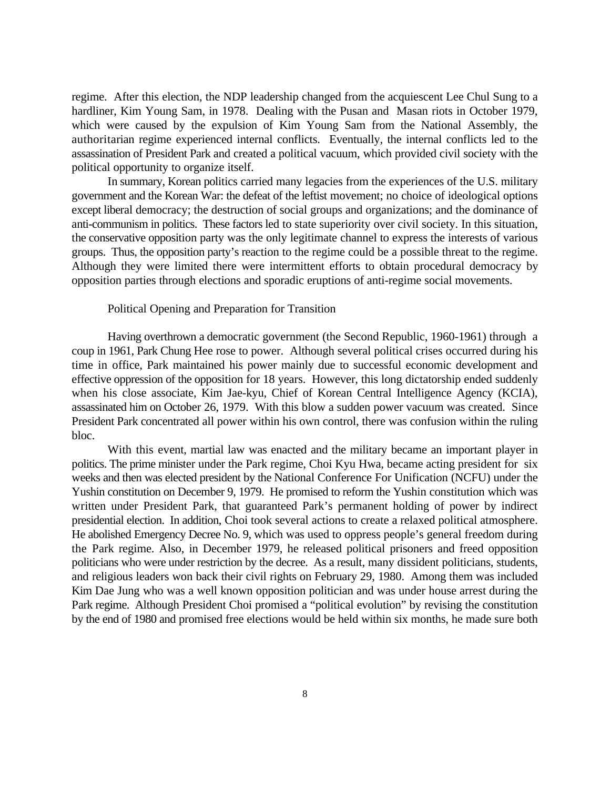regime. After this election, the NDP leadership changed from the acquiescent Lee Chul Sung to a hardliner, Kim Young Sam, in 1978. Dealing with the Pusan and Masan riots in October 1979, which were caused by the expulsion of Kim Young Sam from the National Assembly, the authoritarian regime experienced internal conflicts. Eventually, the internal conflicts led to the assassination of President Park and created a political vacuum, which provided civil society with the political opportunity to organize itself.

In summary, Korean politics carried many legacies from the experiences of the U.S. military government and the Korean War: the defeat of the leftist movement; no choice of ideological options except liberal democracy; the destruction of social groups and organizations; and the dominance of anti-communism in politics. These factors led to state superiority over civil society. In this situation, the conservative opposition party was the only legitimate channel to express the interests of various groups. Thus, the opposition party's reaction to the regime could be a possible threat to the regime. Although they were limited there were intermittent efforts to obtain procedural democracy by opposition parties through elections and sporadic eruptions of anti-regime social movements.

#### Political Opening and Preparation for Transition

Having overthrown a democratic government (the Second Republic, 1960-1961) through a coup in 1961, Park Chung Hee rose to power. Although several political crises occurred during his time in office, Park maintained his power mainly due to successful economic development and effective oppression of the opposition for 18 years. However, this long dictatorship ended suddenly when his close associate, Kim Jae-kyu, Chief of Korean Central Intelligence Agency (KCIA), assassinated him on October 26, 1979. With this blow a sudden power vacuum was created. Since President Park concentrated all power within his own control, there was confusion within the ruling bloc.

With this event, martial law was enacted and the military became an important player in politics. The prime minister under the Park regime, Choi Kyu Hwa, became acting president for six weeks and then was elected president by the National Conference For Unification (NCFU) under the Yushin constitution on December 9, 1979. He promised to reform the Yushin constitution which was written under President Park, that guaranteed Park's permanent holding of power by indirect presidential election. In addition, Choi took several actions to create a relaxed political atmosphere. He abolished Emergency Decree No. 9, which was used to oppress people's general freedom during the Park regime. Also, in December 1979, he released political prisoners and freed opposition politicians who were under restriction by the decree. As a result, many dissident politicians, students, and religious leaders won back their civil rights on February 29, 1980. Among them was included Kim Dae Jung who was a well known opposition politician and was under house arrest during the Park regime. Although President Choi promised a "political evolution" by revising the constitution by the end of 1980 and promised free elections would be held within six months, he made sure both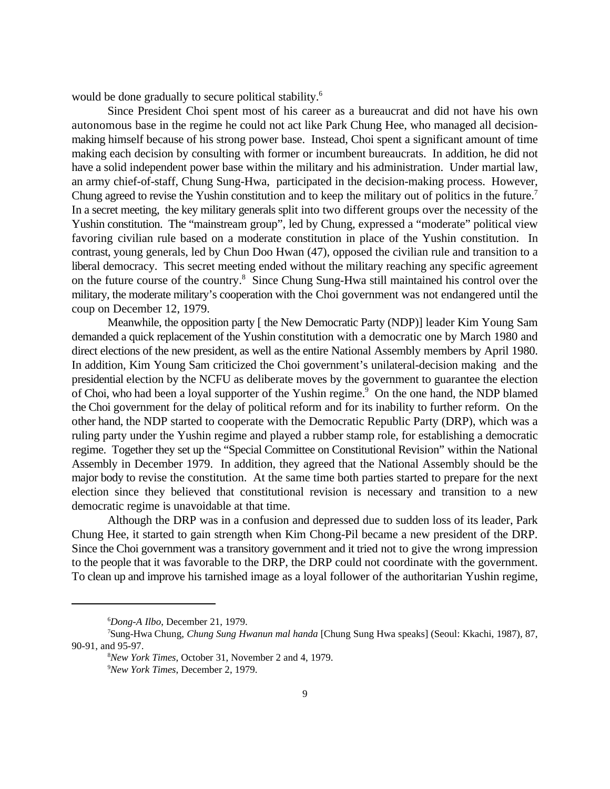would be done gradually to secure political stability.<sup>6</sup>

Since President Choi spent most of his career as a bureaucrat and did not have his own autonomous base in the regime he could not act like Park Chung Hee, who managed all decisionmaking himself because of his strong power base. Instead, Choi spent a significant amount of time making each decision by consulting with former or incumbent bureaucrats. In addition, he did not have a solid independent power base within the military and his administration. Under martial law, an army chief-of-staff, Chung Sung-Hwa, participated in the decision-making process. However, Chung agreed to revise the Yushin constitution and to keep the military out of politics in the future.<sup>7</sup> In a secret meeting, the key military generals split into two different groups over the necessity of the Yushin constitution. The "mainstream group", led by Chung, expressed a "moderate" political view favoring civilian rule based on a moderate constitution in place of the Yushin constitution. In contrast, young generals, led by Chun Doo Hwan (47), opposed the civilian rule and transition to a liberal democracy. This secret meeting ended without the military reaching any specific agreement on the future course of the country.<sup>8</sup> Since Chung Sung-Hwa still maintained his control over the military, the moderate military's cooperation with the Choi government was not endangered until the coup on December 12, 1979.

Meanwhile, the opposition party [ the New Democratic Party (NDP)] leader Kim Young Sam demanded a quick replacement of the Yushin constitution with a democratic one by March 1980 and direct elections of the new president, as well as the entire National Assembly members by April 1980. In addition, Kim Young Sam criticized the Choi government's unilateral-decision making and the presidential election by the NCFU as deliberate moves by the government to guarantee the election of Choi, who had been a loyal supporter of the Yushin regime.<sup>9</sup> On the one hand, the NDP blamed the Choi government for the delay of political reform and for its inability to further reform. On the other hand, the NDP started to cooperate with the Democratic Republic Party (DRP), which was a ruling party under the Yushin regime and played a rubber stamp role, for establishing a democratic regime. Together they set up the "Special Committee on Constitutional Revision" within the National Assembly in December 1979. In addition, they agreed that the National Assembly should be the major body to revise the constitution. At the same time both parties started to prepare for the next election since they believed that constitutional revision is necessary and transition to a new democratic regime is unavoidable at that time.

Although the DRP was in a confusion and depressed due to sudden loss of its leader, Park Chung Hee, it started to gain strength when Kim Chong-Pil became a new president of the DRP. Since the Choi government was a transitory government and it tried not to give the wrong impression to the people that it was favorable to the DRP, the DRP could not coordinate with the government. To clean up and improve his tarnished image as a loyal follower of the authoritarian Yushin regime,

*Dong-A Ilbo*, December 21, 1979. <sup>6</sup>

Sung-Hwa Chung, *Chung Sung Hwanun mal handa* [Chung Sung Hwa speaks] (Seoul: Kkachi, 1987), 87, <sup>7</sup> 90-91, and 95-97.

*New York Times*, October 31, November 2 and 4, 1979. <sup>8</sup>

<sup>&</sup>lt;sup>9</sup>New York Times, December 2, 1979.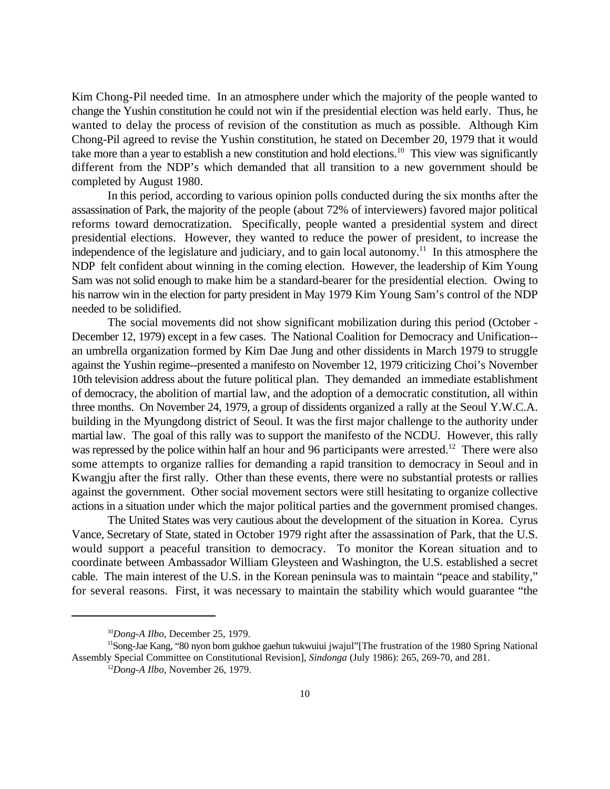Kim Chong-Pil needed time. In an atmosphere under which the majority of the people wanted to change the Yushin constitution he could not win if the presidential election was held early. Thus, he wanted to delay the process of revision of the constitution as much as possible. Although Kim Chong-Pil agreed to revise the Yushin constitution, he stated on December 20, 1979 that it would take more than a year to establish a new constitution and hold elections.<sup>10</sup> This view was significantly different from the NDP's which demanded that all transition to a new government should be completed by August 1980.

In this period, according to various opinion polls conducted during the six months after the assassination of Park, the majority of the people (about 72% of interviewers) favored major political reforms toward democratization. Specifically, people wanted a presidential system and direct presidential elections. However, they wanted to reduce the power of president, to increase the independence of the legislature and judiciary, and to gain local autonomy.<sup>11</sup> In this atmosphere the NDP felt confident about winning in the coming election. However, the leadership of Kim Young Sam was not solid enough to make him be a standard-bearer for the presidential election. Owing to his narrow win in the election for party president in May 1979 Kim Young Sam's control of the NDP needed to be solidified.

The social movements did not show significant mobilization during this period (October - December 12, 1979) except in a few cases. The National Coalition for Democracy and Unification- an umbrella organization formed by Kim Dae Jung and other dissidents in March 1979 to struggle against the Yushin regime--presented a manifesto on November 12, 1979 criticizing Choi's November 10th television address about the future political plan. They demanded an immediate establishment of democracy, the abolition of martial law, and the adoption of a democratic constitution, all within three months. On November 24, 1979, a group of dissidents organized a rally at the Seoul Y.W.C.A. building in the Myungdong district of Seoul. It was the first major challenge to the authority under martial law. The goal of this rally was to support the manifesto of the NCDU. However, this rally was repressed by the police within half an hour and 96 participants were arrested.<sup>12</sup> There were also some attempts to organize rallies for demanding a rapid transition to democracy in Seoul and in Kwangju after the first rally. Other than these events, there were no substantial protests or rallies against the government. Other social movement sectors were still hesitating to organize collective actions in a situation under which the major political parties and the government promised changes.

The United States was very cautious about the development of the situation in Korea. Cyrus Vance, Secretary of State, stated in October 1979 right after the assassination of Park, that the U.S. would support a peaceful transition to democracy. To monitor the Korean situation and to coordinate between Ambassador William Gleysteen and Washington, the U.S. established a secret cable. The main interest of the U.S. in the Korean peninsula was to maintain "peace and stability," for several reasons. First, it was necessary to maintain the stability which would guarantee "the

<sup>&</sup>lt;sup>10</sup>Dong-A *Ilbo*, December 25, 1979.

<sup>&</sup>lt;sup>11</sup>Song-Jae Kang, "80 nyon bom gukhoe gaehun tukwuiui jwajul"[The frustration of the 1980 Spring National Assembly Special Committee on Constitutional Revision], *Sindonga* (July 1986): 265, 269-70, and 281.

 $^{12}$ *Dong-A Ilbo*, November 26, 1979.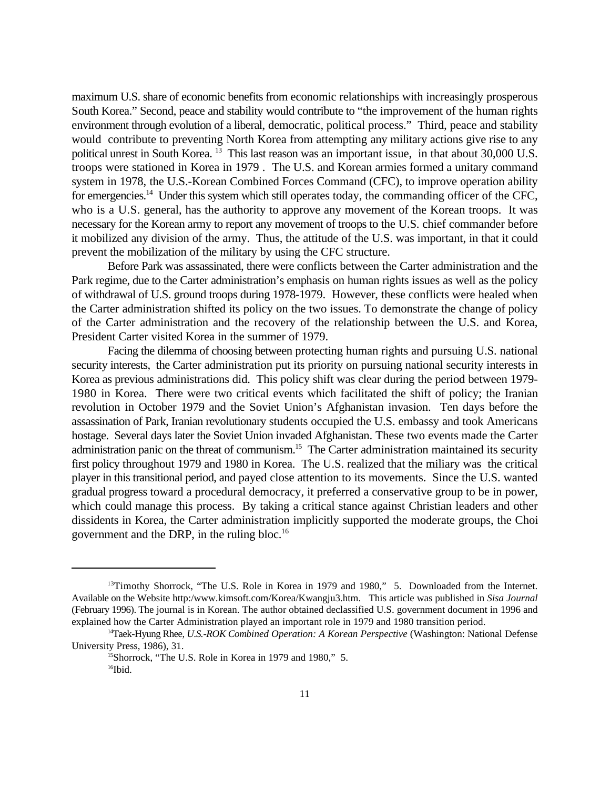maximum U.S. share of economic benefits from economic relationships with increasingly prosperous South Korea." Second, peace and stability would contribute to "the improvement of the human rights environment through evolution of a liberal, democratic, political process." Third, peace and stability would contribute to preventing North Korea from attempting any military actions give rise to any political unrest in South Korea. <sup>13</sup> This last reason was an important issue, in that about 30,000 U.S. troops were stationed in Korea in 1979 . The U.S. and Korean armies formed a unitary command system in 1978, the U.S.-Korean Combined Forces Command (CFC), to improve operation ability for emergencies.<sup>14</sup> Under this system which still operates today, the commanding officer of the CFC, who is a U.S. general, has the authority to approve any movement of the Korean troops. It was necessary for the Korean army to report any movement of troops to the U.S. chief commander before it mobilized any division of the army. Thus, the attitude of the U.S. was important, in that it could prevent the mobilization of the military by using the CFC structure.

Before Park was assassinated, there were conflicts between the Carter administration and the Park regime, due to the Carter administration's emphasis on human rights issues as well as the policy of withdrawal of U.S. ground troops during 1978-1979. However, these conflicts were healed when the Carter administration shifted its policy on the two issues. To demonstrate the change of policy of the Carter administration and the recovery of the relationship between the U.S. and Korea, President Carter visited Korea in the summer of 1979.

Facing the dilemma of choosing between protecting human rights and pursuing U.S. national security interests, the Carter administration put its priority on pursuing national security interests in Korea as previous administrations did. This policy shift was clear during the period between 1979- 1980 in Korea. There were two critical events which facilitated the shift of policy; the Iranian revolution in October 1979 and the Soviet Union's Afghanistan invasion. Ten days before the assassination of Park, Iranian revolutionary students occupied the U.S. embassy and took Americans hostage. Several days later the Soviet Union invaded Afghanistan. These two events made the Carter administration panic on the threat of communism.<sup>15</sup> The Carter administration maintained its security first policy throughout 1979 and 1980 in Korea. The U.S. realized that the miliary was the critical player in this transitional period, and payed close attention to its movements. Since the U.S. wanted gradual progress toward a procedural democracy, it preferred a conservative group to be in power, which could manage this process. By taking a critical stance against Christian leaders and other dissidents in Korea, the Carter administration implicitly supported the moderate groups, the Choi government and the DRP, in the ruling bloc.16

<sup>&</sup>lt;sup>13</sup>Timothy Shorrock, "The U.S. Role in Korea in 1979 and 1980," 5. Downloaded from the Internet. Available on the Website http:/www.kimsoft.com/Korea/Kwangju3.htm. This article was published in *Sisa Journal* (February 1996). The journal is in Korean. The author obtained declassified U.S. government document in 1996 and explained how the Carter Administration played an important role in 1979 and 1980 transition period.

<sup>&</sup>lt;sup>14</sup>Taek-Hyung Rhee, *U.S.-ROK Combined Operation: A Korean Perspective* (Washington: National Defense University Press, 1986), 31.

<sup>&</sup>lt;sup>15</sup>Shorrock, "The U.S. Role in Korea in 1979 and 1980," 5.  $16$ Ibid.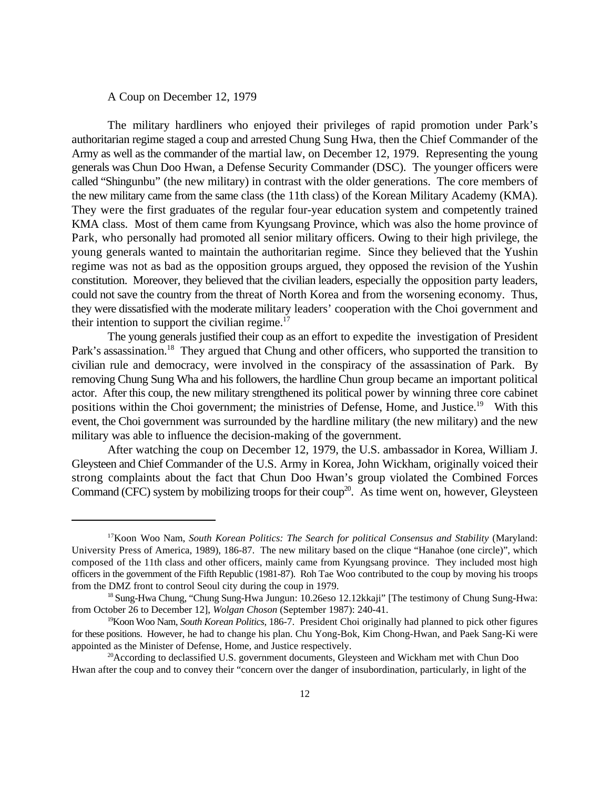A Coup on December 12, 1979

The military hardliners who enjoyed their privileges of rapid promotion under Park's authoritarian regime staged a coup and arrested Chung Sung Hwa, then the Chief Commander of the Army as well as the commander of the martial law, on December 12, 1979. Representing the young generals was Chun Doo Hwan, a Defense Security Commander (DSC). The younger officers were called "Shingunbu" (the new military) in contrast with the older generations. The core members of the new military came from the same class (the 11th class) of the Korean Military Academy (KMA). They were the first graduates of the regular four-year education system and competently trained KMA class. Most of them came from Kyungsang Province, which was also the home province of Park, who personally had promoted all senior military officers. Owing to their high privilege, the young generals wanted to maintain the authoritarian regime. Since they believed that the Yushin regime was not as bad as the opposition groups argued, they opposed the revision of the Yushin constitution. Moreover, they believed that the civilian leaders, especially the opposition party leaders, could not save the country from the threat of North Korea and from the worsening economy. Thus, they were dissatisfied with the moderate military leaders' cooperation with the Choi government and their intention to support the civilian regime. $17$ 

The young generals justified their coup as an effort to expedite the investigation of President Park's assassination.<sup>18</sup> They argued that Chung and other officers, who supported the transition to civilian rule and democracy, were involved in the conspiracy of the assassination of Park. By removing Chung Sung Wha and his followers, the hardline Chun group became an important political actor. After this coup, the new military strengthened its political power by winning three core cabinet positions within the Choi government; the ministries of Defense, Home, and Justice.<sup>19</sup> With this event, the Choi government was surrounded by the hardline military (the new military) and the new military was able to influence the decision-making of the government.

After watching the coup on December 12, 1979, the U.S. ambassador in Korea, William J. Gleysteen and Chief Commander of the U.S. Army in Korea, John Wickham, originally voiced their strong complaints about the fact that Chun Doo Hwan's group violated the Combined Forces Command (CFC) system by mobilizing troops for their coup<sup>20</sup>. As time went on, however, Gleysteen

<sup>&</sup>lt;sup>17</sup> Koon Woo Nam, South Korean Politics: The Search for political Consensus and Stability (Maryland: University Press of America, 1989), 186-87. The new military based on the clique "Hanahoe (one circle)", which composed of the 11th class and other officers, mainly came from Kyungsang province. They included most high officers in the government of the Fifth Republic (1981-87). Roh Tae Woo contributed to the coup by moving his troops from the DMZ front to control Seoul city during the coup in 1979.

<sup>&</sup>lt;sup>18</sup> Sung-Hwa Chung, "Chung Sung-Hwa Jungun: 10.26eso 12.12kkaji" [The testimony of Chung Sung-Hwa: from October 26 to December 12], *Wolgan Choson* (September 1987): 240-41.

<sup>&</sup>lt;sup>19</sup> Koon Woo Nam, *South Korean Politics*, 186-7. President Choi originally had planned to pick other figures for these positions. However, he had to change his plan. Chu Yong-Bok, Kim Chong-Hwan, and Paek Sang-Ki were appointed as the Minister of Defense, Home, and Justice respectively.

 $^{20}$ According to declassified U.S. government documents, Gleysteen and Wickham met with Chun Doo Hwan after the coup and to convey their "concern over the danger of insubordination, particularly, in light of the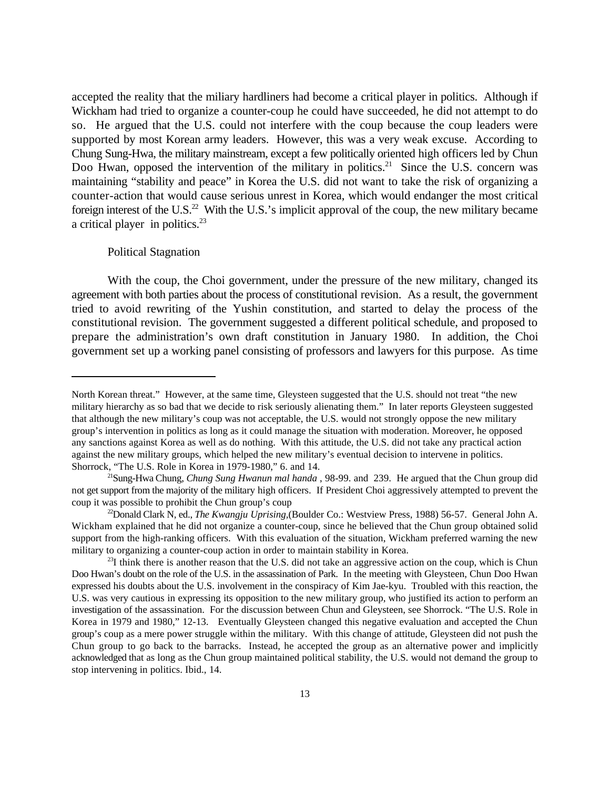accepted the reality that the miliary hardliners had become a critical player in politics. Although if Wickham had tried to organize a counter-coup he could have succeeded, he did not attempt to do so. He argued that the U.S. could not interfere with the coup because the coup leaders were supported by most Korean army leaders. However, this was a very weak excuse. According to Chung Sung-Hwa, the military mainstream, except a few politically oriented high officers led by Chun Doo Hwan, opposed the intervention of the military in politics.<sup>21</sup> Since the U.S. concern was maintaining "stability and peace" in Korea the U.S. did not want to take the risk of organizing a counter-action that would cause serious unrest in Korea, which would endanger the most critical foreign interest of the U.S.<sup>22</sup> With the U.S.'s implicit approval of the coup, the new military became a critical player in politics. $^{23}$ 

#### Political Stagnation

With the coup, the Choi government, under the pressure of the new military, changed its agreement with both parties about the process of constitutional revision. As a result, the government tried to avoid rewriting of the Yushin constitution, and started to delay the process of the constitutional revision. The government suggested a different political schedule, and proposed to prepare the administration's own draft constitution in January 1980. In addition, the Choi government set up a working panel consisting of professors and lawyers for this purpose. As time

North Korean threat." However, at the same time, Gleysteen suggested that the U.S. should not treat "the new military hierarchy as so bad that we decide to risk seriously alienating them." In later reports Gleysteen suggested that although the new military's coup was not acceptable, the U.S. would not strongly oppose the new military group's intervention in politics as long as it could manage the situation with moderation. Moreover, he opposed any sanctions against Korea as well as do nothing. With this attitude, the U.S. did not take any practical action against the new military groups, which helped the new military's eventual decision to intervene in politics. Shorrock, "The U.S. Role in Korea in 1979-1980," 6. and 14.

Sung-Hwa Chung, *Chung Sung Hwanun mal handa* , 98-99. and 239. He argued that the Chun group did <sup>21</sup> not get support from the majority of the military high officers. If President Choi aggressively attempted to prevent the coup it was possible to prohibit the Chun group's coup

<sup>&</sup>lt;sup>22</sup>Donald Clark N, ed., *The Kwangju Uprising*, (Boulder Co.: Westview Press, 1988) 56-57. General John A. Wickham explained that he did not organize a counter-coup, since he believed that the Chun group obtained solid support from the high-ranking officers. With this evaluation of the situation, Wickham preferred warning the new military to organizing a counter-coup action in order to maintain stability in Korea.

 $^{23}I$  think there is another reason that the U.S. did not take an aggressive action on the coup, which is Chun Doo Hwan's doubt on the role of the U.S. in the assassination of Park. In the meeting with Gleysteen, Chun Doo Hwan expressed his doubts about the U.S. involvement in the conspiracy of Kim Jae-kyu. Troubled with this reaction, the U.S. was very cautious in expressing its opposition to the new military group, who justified its action to perform an investigation of the assassination. For the discussion between Chun and Gleysteen, see Shorrock. "The U.S. Role in Korea in 1979 and 1980," 12-13. Eventually Gleysteen changed this negative evaluation and accepted the Chun group's coup as a mere power struggle within the military. With this change of attitude, Gleysteen did not push the Chun group to go back to the barracks. Instead, he accepted the group as an alternative power and implicitly acknowledged that as long as the Chun group maintained political stability, the U.S. would not demand the group to stop intervening in politics. Ibid., 14.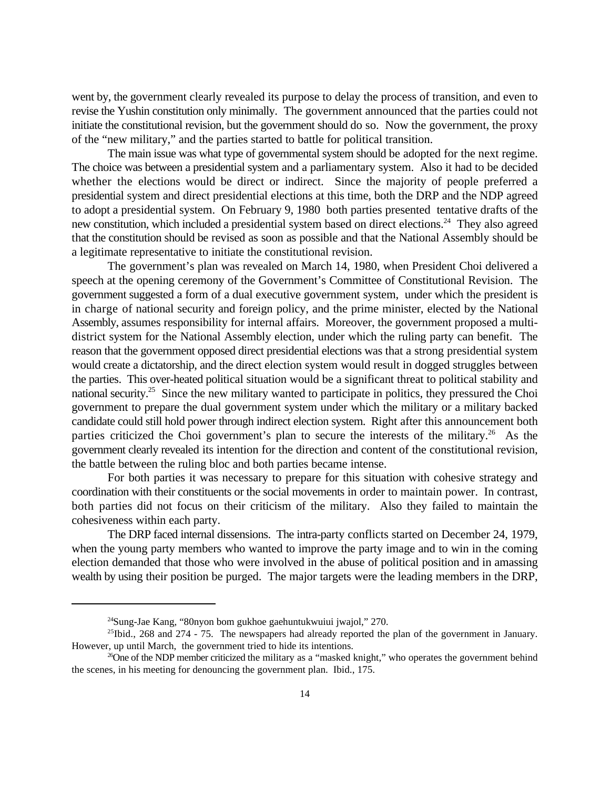went by, the government clearly revealed its purpose to delay the process of transition, and even to revise the Yushin constitution only minimally. The government announced that the parties could not initiate the constitutional revision, but the government should do so. Now the government, the proxy of the "new military," and the parties started to battle for political transition.

The main issue was what type of governmental system should be adopted for the next regime. The choice was between a presidential system and a parliamentary system. Also it had to be decided whether the elections would be direct or indirect. Since the majority of people preferred a presidential system and direct presidential elections at this time, both the DRP and the NDP agreed to adopt a presidential system. On February 9, 1980 both parties presented tentative drafts of the new constitution, which included a presidential system based on direct elections.<sup>24</sup> They also agreed that the constitution should be revised as soon as possible and that the National Assembly should be a legitimate representative to initiate the constitutional revision.

The government's plan was revealed on March 14, 1980, when President Choi delivered a speech at the opening ceremony of the Government's Committee of Constitutional Revision. The government suggested a form of a dual executive government system, under which the president is in charge of national security and foreign policy, and the prime minister, elected by the National Assembly, assumes responsibility for internal affairs. Moreover, the government proposed a multidistrict system for the National Assembly election, under which the ruling party can benefit. The reason that the government opposed direct presidential elections was that a strong presidential system would create a dictatorship, and the direct election system would result in dogged struggles between the parties. This over-heated political situation would be a significant threat to political stability and national security.<sup>25</sup> Since the new military wanted to participate in politics, they pressured the Choi government to prepare the dual government system under which the military or a military backed candidate could still hold power through indirect election system. Right after this announcement both parties criticized the Choi government's plan to secure the interests of the military.<sup>26</sup> As the government clearly revealed its intention for the direction and content of the constitutional revision, the battle between the ruling bloc and both parties became intense.

For both parties it was necessary to prepare for this situation with cohesive strategy and coordination with their constituents or the social movements in order to maintain power. In contrast, both parties did not focus on their criticism of the military. Also they failed to maintain the cohesiveness within each party.

The DRP faced internal dissensions. The intra-party conflicts started on December 24, 1979, when the young party members who wanted to improve the party image and to win in the coming election demanded that those who were involved in the abuse of political position and in amassing wealth by using their position be purged. The major targets were the leading members in the DRP,

 $24$ Sung-Jae Kang, "80nyon bom gukhoe gaehuntukwuiui jwajol," 270.

 $^{25}$ Ibid., 268 and 274 - 75. The newspapers had already reported the plan of the government in January. However, up until March, the government tried to hide its intentions.

 $^{26}$ One of the NDP member criticized the military as a "masked knight," who operates the government behind the scenes, in his meeting for denouncing the government plan. Ibid., 175.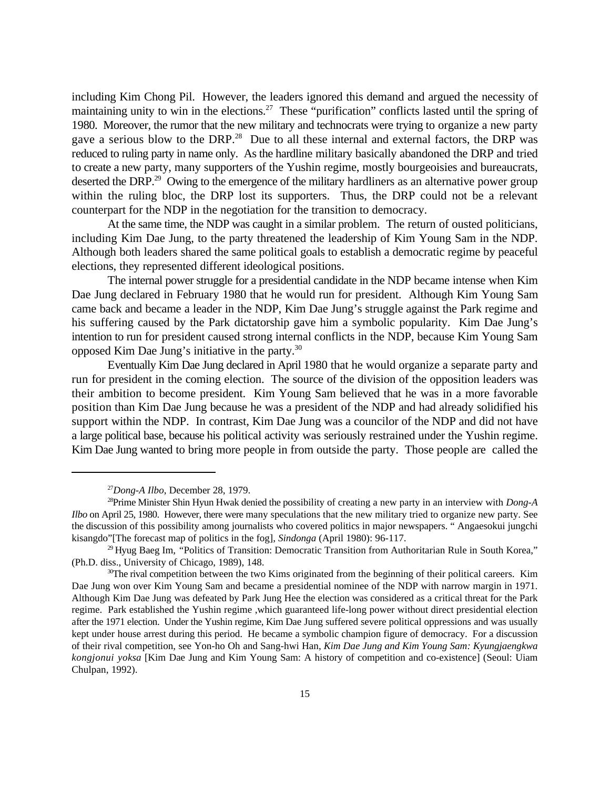including Kim Chong Pil. However, the leaders ignored this demand and argued the necessity of maintaining unity to win in the elections.<sup>27</sup> These "purification" conflicts lasted until the spring of 1980. Moreover, the rumor that the new military and technocrats were trying to organize a new party gave a serious blow to the DRP.<sup>28</sup> Due to all these internal and external factors, the DRP was reduced to ruling party in name only. As the hardline military basically abandoned the DRP and tried to create a new party, many supporters of the Yushin regime, mostly bourgeoisies and bureaucrats, deserted the DRP.<sup>29</sup> Owing to the emergence of the military hardliners as an alternative power group within the ruling bloc, the DRP lost its supporters. Thus, the DRP could not be a relevant counterpart for the NDP in the negotiation for the transition to democracy.

At the same time, the NDP was caught in a similar problem. The return of ousted politicians, including Kim Dae Jung, to the party threatened the leadership of Kim Young Sam in the NDP. Although both leaders shared the same political goals to establish a democratic regime by peaceful elections, they represented different ideological positions.

The internal power struggle for a presidential candidate in the NDP became intense when Kim Dae Jung declared in February 1980 that he would run for president. Although Kim Young Sam came back and became a leader in the NDP, Kim Dae Jung's struggle against the Park regime and his suffering caused by the Park dictatorship gave him a symbolic popularity. Kim Dae Jung's intention to run for president caused strong internal conflicts in the NDP, because Kim Young Sam opposed Kim Dae Jung's initiative in the party.<sup>30</sup>

Eventually Kim Dae Jung declared in April 1980 that he would organize a separate party and run for president in the coming election. The source of the division of the opposition leaders was their ambition to become president. Kim Young Sam believed that he was in a more favorable position than Kim Dae Jung because he was a president of the NDP and had already solidified his support within the NDP. In contrast, Kim Dae Jung was a councilor of the NDP and did not have a large political base, because his political activity was seriously restrained under the Yushin regime. Kim Dae Jung wanted to bring more people in from outside the party. Those people are called the

 $^{27}$ *Dong-A Ilbo*, December 28, 1979.

<sup>&</sup>lt;sup>28</sup>Prime Minister Shin Hyun Hwak denied the possibility of creating a new party in an interview with *Dong-A Ilbo* on April 25, 1980. However, there were many speculations that the new military tried to organize new party. See the discussion of this possibility among journalists who covered politics in major newspapers. " Angaesokui jungchi kisangdo"[The forecast map of politics in the fog], *Sindonga* (April 1980): 96-117.

<sup>&</sup>lt;sup>29</sup> Hyug Baeg Im, *"Politics of Transition: Democratic Transition from Authoritarian Rule in South Korea,"* (Ph.D. diss., University of Chicago, 1989), 148.

 $30$ The rival competition between the two Kims originated from the beginning of their political careers. Kim Dae Jung won over Kim Young Sam and became a presidential nominee of the NDP with narrow margin in 1971. Although Kim Dae Jung was defeated by Park Jung Hee the election was considered as a critical threat for the Park regime. Park established the Yushin regime ,which guaranteed life-long power without direct presidential election after the 1971 election. Under the Yushin regime, Kim Dae Jung suffered severe political oppressions and was usually kept under house arrest during this period. He became a symbolic champion figure of democracy. For a discussion of their rival competition, see Yon-ho Oh and Sang-hwi Han, *Kim Dae Jung and Kim Young Sam: Kyungjaengkwa kongjonui yoksa* [Kim Dae Jung and Kim Young Sam: A history of competition and co-existence] (Seoul: Uiam Chulpan, 1992).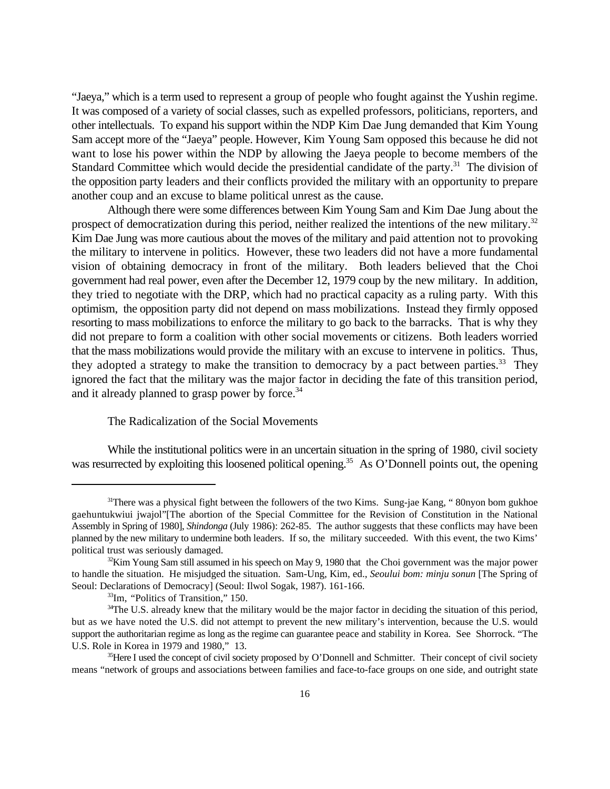"Jaeya," which is a term used to represent a group of people who fought against the Yushin regime. It was composed of a variety of social classes, such as expelled professors, politicians, reporters, and other intellectuals. To expand his support within the NDP Kim Dae Jung demanded that Kim Young Sam accept more of the "Jaeya" people. However, Kim Young Sam opposed this because he did not want to lose his power within the NDP by allowing the Jaeya people to become members of the Standard Committee which would decide the presidential candidate of the party.<sup>31</sup> The division of the opposition party leaders and their conflicts provided the military with an opportunity to prepare another coup and an excuse to blame political unrest as the cause.

Although there were some differences between Kim Young Sam and Kim Dae Jung about the prospect of democratization during this period, neither realized the intentions of the new military.<sup>32</sup> Kim Dae Jung was more cautious about the moves of the military and paid attention not to provoking the military to intervene in politics. However, these two leaders did not have a more fundamental vision of obtaining democracy in front of the military. Both leaders believed that the Choi government had real power, even after the December 12, 1979 coup by the new military. In addition, they tried to negotiate with the DRP, which had no practical capacity as a ruling party. With this optimism, the opposition party did not depend on mass mobilizations. Instead they firmly opposed resorting to mass mobilizations to enforce the military to go back to the barracks. That is why they did not prepare to form a coalition with other social movements or citizens. Both leaders worried that the mass mobilizations would provide the military with an excuse to intervene in politics. Thus, they adopted a strategy to make the transition to democracy by a pact between parties.<sup>33</sup> They ignored the fact that the military was the major factor in deciding the fate of this transition period, and it already planned to grasp power by force.<sup>34</sup>

## The Radicalization of the Social Movements

While the institutional politics were in an uncertain situation in the spring of 1980, civil society was resurrected by exploiting this loosened political opening.<sup>35</sup> As O'Donnell points out, the opening

<sup>&</sup>lt;sup>31</sup>There was a physical fight between the followers of the two Kims. Sung-jae Kang, "80nyon bom gukhoe" gaehuntukwiui jwajol"[The abortion of the Special Committee for the Revision of Constitution in the National Assembly in Spring of 1980], *Shindonga* (July 1986): 262-85. The author suggests that these conflicts may have been planned by the new military to undermine both leaders. If so, the military succeeded. With this event, the two Kims' political trust was seriously damaged.

 $E<sup>32</sup>$ Kim Young Sam still assumed in his speech on May 9, 1980 that the Choi government was the major power to handle the situation. He misjudged the situation. Sam-Ung, Kim, ed., *Seoului bom: minju sonun* [The Spring of Seoul: Declarations of Democracy] (Seoul: Ilwol Sogak, 1987). 161-166.

<sup>&</sup>lt;sup>33</sup>Im, "Politics of Transition," 150.

<sup>&</sup>lt;sup>34</sup>The U.S. already knew that the military would be the major factor in deciding the situation of this period, but as we have noted the U.S. did not attempt to prevent the new military's intervention, because the U.S. would support the authoritarian regime as long as the regime can guarantee peace and stability in Korea. See Shorrock. "The U.S. Role in Korea in 1979 and 1980," 13.

<sup>&</sup>lt;sup>35</sup>Here I used the concept of civil society proposed by O'Donnell and Schmitter. Their concept of civil society means "network of groups and associations between families and face-to-face groups on one side, and outright state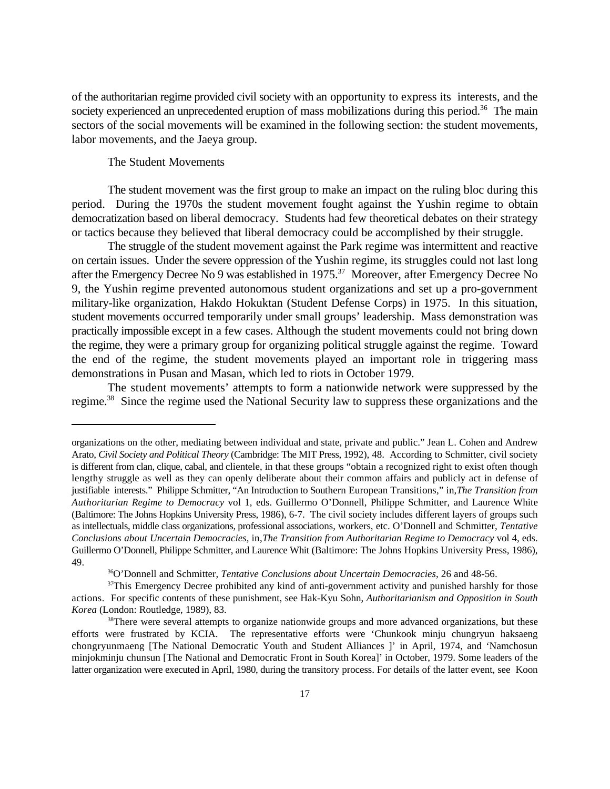of the authoritarian regime provided civil society with an opportunity to express its interests, and the society experienced an unprecedented eruption of mass mobilizations during this period.<sup>36</sup> The main sectors of the social movements will be examined in the following section: the student movements, labor movements, and the Jaeya group.

## The Student Movements

The student movement was the first group to make an impact on the ruling bloc during this period. During the 1970s the student movement fought against the Yushin regime to obtain democratization based on liberal democracy. Students had few theoretical debates on their strategy or tactics because they believed that liberal democracy could be accomplished by their struggle.

The struggle of the student movement against the Park regime was intermittent and reactive on certain issues. Under the severe oppression of the Yushin regime, its struggles could not last long after the Emergency Decree No 9 was established in 1975.<sup>37</sup> Moreover, after Emergency Decree No 9, the Yushin regime prevented autonomous student organizations and set up a pro-government military-like organization, Hakdo Hokuktan (Student Defense Corps) in 1975. In this situation, student movements occurred temporarily under small groups' leadership. Mass demonstration was practically impossible except in a few cases. Although the student movements could not bring down the regime, they were a primary group for organizing political struggle against the regime. Toward the end of the regime, the student movements played an important role in triggering mass demonstrations in Pusan and Masan, which led to riots in October 1979.

The student movements' attempts to form a nationwide network were suppressed by the regime.<sup>38</sup> Since the regime used the National Security law to suppress these organizations and the

organizations on the other, mediating between individual and state, private and public." Jean L. Cohen and Andrew Arato, *Civil Society and Political Theory* (Cambridge: The MIT Press, 1992), 48. According to Schmitter, civil society is different from clan, clique, cabal, and clientele, in that these groups "obtain a recognized right to exist often though lengthy struggle as well as they can openly deliberate about their common affairs and publicly act in defense of justifiable interests." Philippe Schmitter, "An Introduction to Southern European Transitions," in,*The Transition from Authoritarian Regime to Democracy* vol 1, eds. Guillermo O'Donnell, Philippe Schmitter, and Laurence White (Baltimore: The Johns Hopkins University Press, 1986), 6-7. The civil society includes different layers of groups such as intellectuals, middle class organizations, professional associations, workers, etc. O'Donnell and Schmitter, *Tentative Conclusions about Uncertain Democracies,* in,*The Transition from Authoritarian Regime to Democracy* vol 4, eds. Guillermo O'Donnell, Philippe Schmitter, and Laurence Whit (Baltimore: The Johns Hopkins University Press, 1986), 49.

O'Donnell and Schmitter, *Tentative Conclusions about Uncertain Democracies*, 26 and 48-56. <sup>36</sup>

<sup>&</sup>lt;sup>37</sup>This Emergency Decree prohibited any kind of anti-government activity and punished harshly for those actions. For specific contents of these punishment, see Hak-Kyu Sohn, *Authoritarianism and Opposition in South Korea* (London: Routledge, 1989), 83.

<sup>&</sup>lt;sup>38</sup>There were several attempts to organize nationwide groups and more advanced organizations, but these efforts were frustrated by KCIA. The representative efforts were 'Chunkook minju chungryun haksaeng chongryunmaeng [The National Democratic Youth and Student Alliances ]' in April, 1974, and 'Namchosun minjokminju chunsun [The National and Democratic Front in South Korea]' in October, 1979. Some leaders of the latter organization were executed in April, 1980, during the transitory process. For details of the latter event, see Koon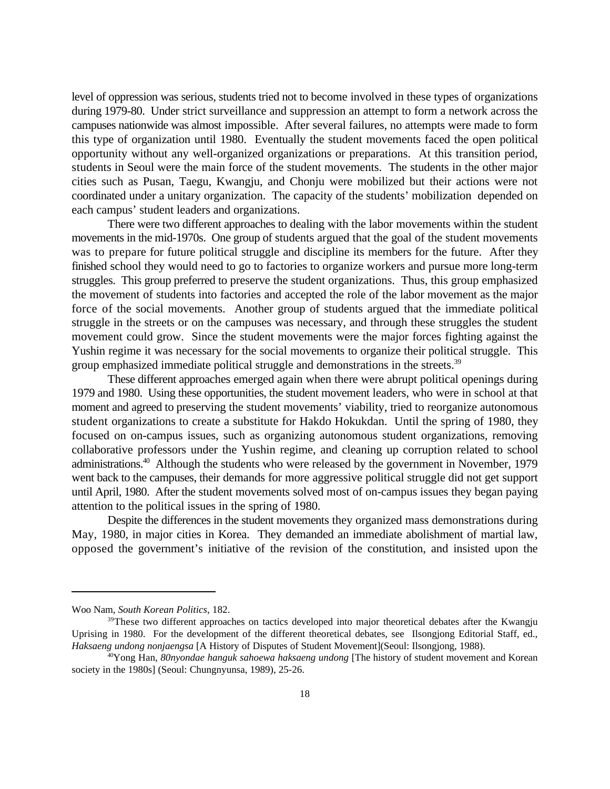level of oppression was serious, students tried not to become involved in these types of organizations during 1979-80. Under strict surveillance and suppression an attempt to form a network across the campuses nationwide was almost impossible. After several failures, no attempts were made to form this type of organization until 1980. Eventually the student movements faced the open political opportunity without any well-organized organizations or preparations. At this transition period, students in Seoul were the main force of the student movements. The students in the other major cities such as Pusan, Taegu, Kwangju, and Chonju were mobilized but their actions were not coordinated under a unitary organization. The capacity of the students' mobilization depended on each campus' student leaders and organizations.

There were two different approaches to dealing with the labor movements within the student movements in the mid-1970s. One group of students argued that the goal of the student movements was to prepare for future political struggle and discipline its members for the future. After they finished school they would need to go to factories to organize workers and pursue more long-term struggles. This group preferred to preserve the student organizations. Thus, this group emphasized the movement of students into factories and accepted the role of the labor movement as the major force of the social movements. Another group of students argued that the immediate political struggle in the streets or on the campuses was necessary, and through these struggles the student movement could grow. Since the student movements were the major forces fighting against the Yushin regime it was necessary for the social movements to organize their political struggle. This group emphasized immediate political struggle and demonstrations in the streets.<sup>39</sup>

These different approaches emerged again when there were abrupt political openings during 1979 and 1980. Using these opportunities, the student movement leaders, who were in school at that moment and agreed to preserving the student movements' viability, tried to reorganize autonomous student organizations to create a substitute for Hakdo Hokukdan. Until the spring of 1980, they focused on on-campus issues, such as organizing autonomous student organizations, removing collaborative professors under the Yushin regime, and cleaning up corruption related to school administrations.<sup>40</sup> Although the students who were released by the government in November, 1979 went back to the campuses, their demands for more aggressive political struggle did not get support until April, 1980. After the student movements solved most of on-campus issues they began paying attention to the political issues in the spring of 1980.

Despite the differences in the student movements they organized mass demonstrations during May, 1980, in major cities in Korea. They demanded an immediate abolishment of martial law, opposed the government's initiative of the revision of the constitution, and insisted upon the

Woo Nam, *South Korean Politics*, 182.

<sup>&</sup>lt;sup>39</sup>These two different approaches on tactics developed into major theoretical debates after the Kwangju Uprising in 1980. For the development of the different theoretical debates, see Ilsongjong Editorial Staff, ed., *Haksaeng undong nonjaengsa* [A History of Disputes of Student Movement](Seoul: Ilsongjong, 1988).

<sup>&</sup>lt;sup>40</sup>Yong Han, *80nyondae hanguk sahoewa haksaeng undong* [The history of student movement and Korean society in the 1980s] (Seoul: Chungnyunsa, 1989), 25-26.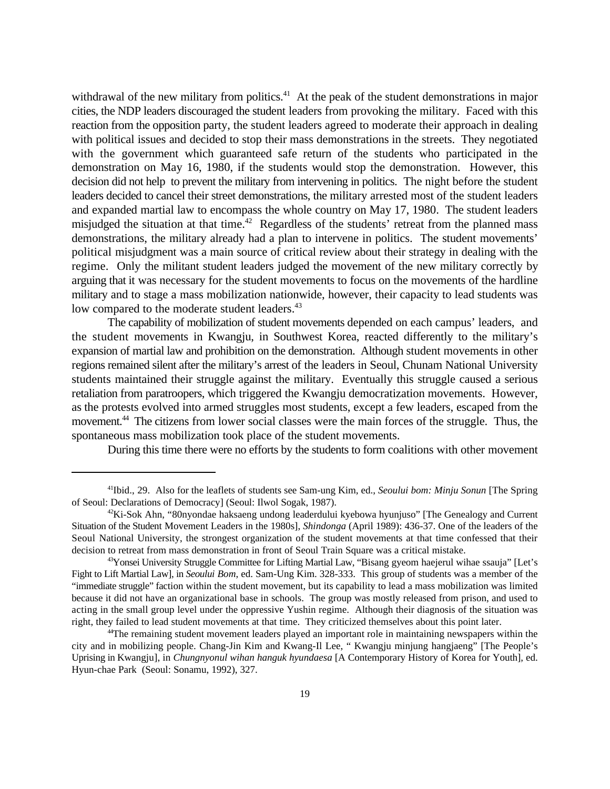withdrawal of the new military from politics.<sup> $41$ </sup> At the peak of the student demonstrations in major cities, the NDP leaders discouraged the student leaders from provoking the military. Faced with this reaction from the opposition party, the student leaders agreed to moderate their approach in dealing with political issues and decided to stop their mass demonstrations in the streets. They negotiated with the government which guaranteed safe return of the students who participated in the demonstration on May 16, 1980, if the students would stop the demonstration. However, this decision did not help to prevent the military from intervening in politics. The night before the student leaders decided to cancel their street demonstrations, the military arrested most of the student leaders and expanded martial law to encompass the whole country on May 17, 1980. The student leaders misjudged the situation at that time.<sup>42</sup> Regardless of the students' retreat from the planned mass demonstrations, the military already had a plan to intervene in politics. The student movements' political misjudgment was a main source of critical review about their strategy in dealing with the regime. Only the militant student leaders judged the movement of the new military correctly by arguing that it was necessary for the student movements to focus on the movements of the hardline military and to stage a mass mobilization nationwide, however, their capacity to lead students was low compared to the moderate student leaders.<sup>43</sup>

The capability of mobilization of student movements depended on each campus' leaders, and the student movements in Kwangju, in Southwest Korea, reacted differently to the military's expansion of martial law and prohibition on the demonstration. Although student movements in other regions remained silent after the military's arrest of the leaders in Seoul, Chunam National University students maintained their struggle against the military. Eventually this struggle caused a serious retaliation from paratroopers, which triggered the Kwangju democratization movements. However, as the protests evolved into armed struggles most students, except a few leaders, escaped from the movement.<sup>44</sup> The citizens from lower social classes were the main forces of the struggle. Thus, the spontaneous mass mobilization took place of the student movements.

During this time there were no efforts by the students to form coalitions with other movement

<sup>&</sup>lt;sup>41</sup>Ibid., 29. Also for the leaflets of students see Sam-ung Kim, ed., *Seoului bom: Minju Sonun* [The Spring] of Seoul: Declarations of Democracy] (Seoul: Ilwol Sogak, 1987).

 $42\text{Ki-Sok Ahn, }$  "80nyondae haksaeng undong leaderdului kyebowa hyunjuso" [The Genealogy and Current Situation of the Student Movement Leaders in the 1980s], *Shindonga* (April 1989): 436-37. One of the leaders of the Seoul National University, the strongest organization of the student movements at that time confessed that their decision to retreat from mass demonstration in front of Seoul Train Square was a critical mistake.

<sup>&</sup>lt;sup>43</sup>Yonsei University Struggle Committee for Lifting Martial Law, "Bisang gyeom haejerul wihae ssauja" [Let's Fight to Lift Martial Law], in *Seoului Bom*, ed. Sam-Ung Kim. 328-333. This group of students was a member of the "immediate struggle" faction within the student movement, but its capability to lead a mass mobilization was limited because it did not have an organizational base in schools. The group was mostly released from prison, and used to acting in the small group level under the oppressive Yushin regime. Although their diagnosis of the situation was right, they failed to lead student movements at that time. They criticized themselves about this point later.

<sup>&</sup>lt;sup>44</sup>The remaining student movement leaders played an important role in maintaining newspapers within the city and in mobilizing people. Chang-Jin Kim and Kwang-Il Lee, " Kwangju minjung hangjaeng" [The People's Uprising in Kwangju], in *Chungnyonul wihan hanguk hyundaesa* [A Contemporary History of Korea for Youth], ed. Hyun-chae Park (Seoul: Sonamu, 1992), 327.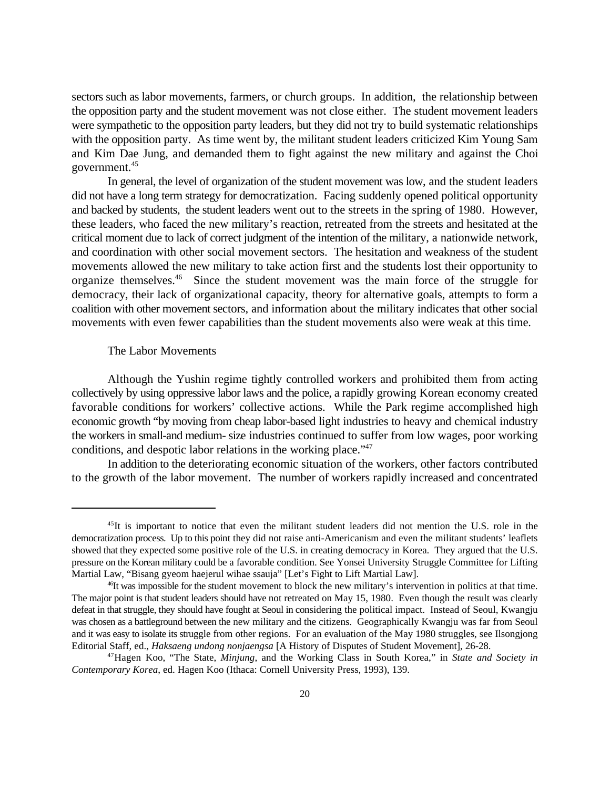sectors such as labor movements, farmers, or church groups. In addition, the relationship between the opposition party and the student movement was not close either. The student movement leaders were sympathetic to the opposition party leaders, but they did not try to build systematic relationships with the opposition party. As time went by, the militant student leaders criticized Kim Young Sam and Kim Dae Jung, and demanded them to fight against the new military and against the Choi government.<sup>45</sup>

In general, the level of organization of the student movement was low, and the student leaders did not have a long term strategy for democratization. Facing suddenly opened political opportunity and backed by students, the student leaders went out to the streets in the spring of 1980. However, these leaders, who faced the new military's reaction, retreated from the streets and hesitated at the critical moment due to lack of correct judgment of the intention of the military, a nationwide network, and coordination with other social movement sectors. The hesitation and weakness of the student movements allowed the new military to take action first and the students lost their opportunity to organize themselves. $46$  Since the student movement was the main force of the struggle for democracy, their lack of organizational capacity, theory for alternative goals, attempts to form a coalition with other movement sectors, and information about the military indicates that other social movements with even fewer capabilities than the student movements also were weak at this time.

#### The Labor Movements

Although the Yushin regime tightly controlled workers and prohibited them from acting collectively by using oppressive labor laws and the police, a rapidly growing Korean economy created favorable conditions for workers' collective actions. While the Park regime accomplished high economic growth "by moving from cheap labor-based light industries to heavy and chemical industry the workers in small-and medium- size industries continued to suffer from low wages, poor working conditions, and despotic labor relations in the working place."<sup>47</sup>

In addition to the deteriorating economic situation of the workers, other factors contributed to the growth of the labor movement. The number of workers rapidly increased and concentrated

 $45$ It is important to notice that even the militant student leaders did not mention the U.S. role in the democratization process. Up to this point they did not raise anti-Americanism and even the militant students' leaflets showed that they expected some positive role of the U.S. in creating democracy in Korea. They argued that the U.S. pressure on the Korean military could be a favorable condition. See Yonsei University Struggle Committee for Lifting Martial Law, "Bisang gyeom haejerul wihae ssauja" [Let's Fight to Lift Martial Law].

 $\frac{46}{10}$  twas impossible for the student movement to block the new military's intervention in politics at that time. The major point is that student leaders should have not retreated on May 15, 1980. Even though the result was clearly defeat in that struggle, they should have fought at Seoul in considering the political impact. Instead of Seoul, Kwangju was chosen as a battleground between the new military and the citizens. Geographically Kwangju was far from Seoul and it was easy to isolate its struggle from other regions. For an evaluation of the May 1980 struggles, see Ilsongjong Editorial Staff, ed., *Haksaeng undong nonjaengsa* [A History of Disputes of Student Movement], 26-28.

<sup>&</sup>lt;sup>47</sup> Hagen Koo, "The State, *Minjung*, and the Working Class in South Korea," in State and Society in *Contemporary Korea*, ed. Hagen Koo (Ithaca: Cornell University Press, 1993), 139.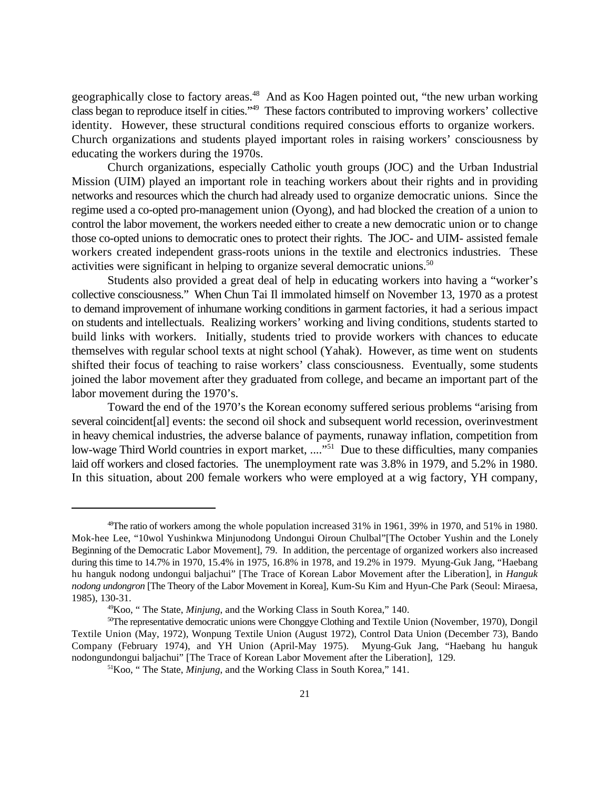geographically close to factory areas.<sup>48</sup> And as Koo Hagen pointed out, "the new urban working class began to reproduce itself in cities."<sup>49</sup> These factors contributed to improving workers' collective identity. However, these structural conditions required conscious efforts to organize workers. Church organizations and students played important roles in raising workers' consciousness by educating the workers during the 1970s.

Church organizations, especially Catholic youth groups (JOC) and the Urban Industrial Mission (UIM) played an important role in teaching workers about their rights and in providing networks and resources which the church had already used to organize democratic unions. Since the regime used a co-opted pro-management union (Oyong), and had blocked the creation of a union to control the labor movement, the workers needed either to create a new democratic union or to change those co-opted unions to democratic ones to protect their rights. The JOC- and UIM- assisted female workers created independent grass-roots unions in the textile and electronics industries. These activities were significant in helping to organize several democratic unions.<sup>50</sup>

Students also provided a great deal of help in educating workers into having a "worker's collective consciousness." When Chun Tai Il immolated himself on November 13, 1970 as a protest to demand improvement of inhumane working conditions in garment factories, it had a serious impact on students and intellectuals. Realizing workers' working and living conditions, students started to build links with workers. Initially, students tried to provide workers with chances to educate themselves with regular school texts at night school (Yahak). However, as time went on students shifted their focus of teaching to raise workers' class consciousness. Eventually, some students joined the labor movement after they graduated from college, and became an important part of the labor movement during the 1970's.

Toward the end of the 1970's the Korean economy suffered serious problems "arising from several coincident[al] events: the second oil shock and subsequent world recession, overinvestment in heavy chemical industries, the adverse balance of payments, runaway inflation, competition from low-wage Third World countries in export market, ...."<sup>51</sup> Due to these difficulties, many companies laid off workers and closed factories. The unemployment rate was 3.8% in 1979, and 5.2% in 1980. In this situation, about 200 female workers who were employed at a wig factory, YH company,

 $^{48}$ The ratio of workers among the whole population increased 31% in 1961, 39% in 1970, and 51% in 1980. Mok-hee Lee, "10wol Yushinkwa Minjunodong Undongui Oiroun Chulbal"[The October Yushin and the Lonely Beginning of the Democratic Labor Movement], 79. In addition, the percentage of organized workers also increased during this time to 14.7% in 1970, 15.4% in 1975, 16.8% in 1978, and 19.2% in 1979. Myung-Guk Jang, "Haebang hu hanguk nodong undongui baljachui" [The Trace of Korean Labor Movement after the Liberation], in *Hanguk nodong undongron* [The Theory of the Labor Movement in Korea], Kum-Su Kim and Hyun-Che Park (Seoul: Miraesa, 1985), 130-31.

<sup>&</sup>lt;sup>49</sup> Koo, " The State, *Minjung*, and the Working Class in South Korea," 140.

 ${}^{50}$ The representative democratic unions were Chonggye Clothing and Textile Union (November, 1970), Dongil Textile Union (May, 1972), Wonpung Textile Union (August 1972), Control Data Union (December 73), Bando Company (February 1974), and YH Union (April-May 1975). Myung-Guk Jang, "Haebang hu hanguk nodongundongui baljachui" [The Trace of Korean Labor Movement after the Liberation], 129.

 ${}^{51}$ Koo, "The State, *Minjung*, and the Working Class in South Korea," 141.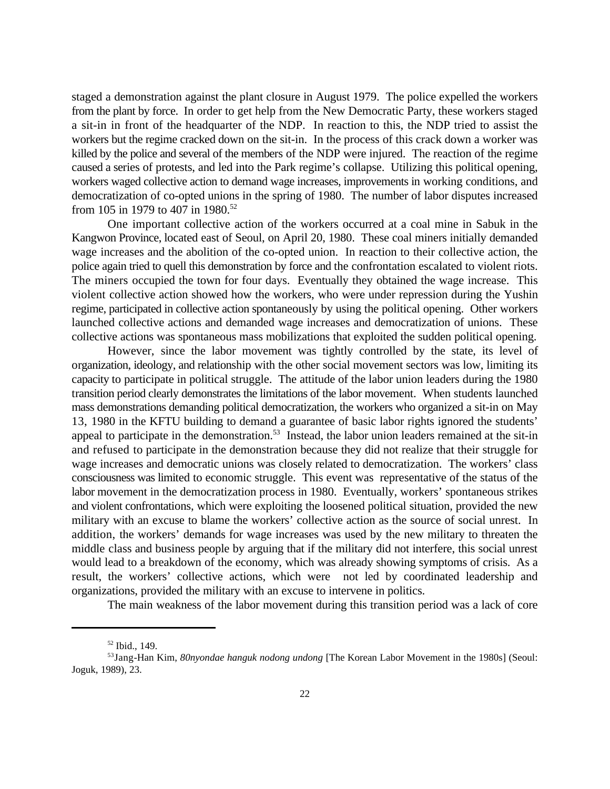staged a demonstration against the plant closure in August 1979. The police expelled the workers from the plant by force. In order to get help from the New Democratic Party, these workers staged a sit-in in front of the headquarter of the NDP. In reaction to this, the NDP tried to assist the workers but the regime cracked down on the sit-in. In the process of this crack down a worker was killed by the police and several of the members of the NDP were injured. The reaction of the regime caused a series of protests, and led into the Park regime's collapse. Utilizing this political opening, workers waged collective action to demand wage increases, improvements in working conditions, and democratization of co-opted unions in the spring of 1980. The number of labor disputes increased from 105 in 1979 to 407 in 1980.<sup>52</sup>

One important collective action of the workers occurred at a coal mine in Sabuk in the Kangwon Province, located east of Seoul, on April 20, 1980. These coal miners initially demanded wage increases and the abolition of the co-opted union. In reaction to their collective action, the police again tried to quell this demonstration by force and the confrontation escalated to violent riots. The miners occupied the town for four days. Eventually they obtained the wage increase. This violent collective action showed how the workers, who were under repression during the Yushin regime, participated in collective action spontaneously by using the political opening. Other workers launched collective actions and demanded wage increases and democratization of unions. These collective actions was spontaneous mass mobilizations that exploited the sudden political opening.

However, since the labor movement was tightly controlled by the state, its level of organization, ideology, and relationship with the other social movement sectors was low, limiting its capacity to participate in political struggle. The attitude of the labor union leaders during the 1980 transition period clearly demonstrates the limitations of the labor movement. When students launched mass demonstrations demanding political democratization, the workers who organized a sit-in on May 13, 1980 in the KFTU building to demand a guarantee of basic labor rights ignored the students' appeal to participate in the demonstration.<sup>53</sup> Instead, the labor union leaders remained at the sit-in and refused to participate in the demonstration because they did not realize that their struggle for wage increases and democratic unions was closely related to democratization. The workers' class consciousness was limited to economic struggle. This event was representative of the status of the labor movement in the democratization process in 1980. Eventually, workers' spontaneous strikes and violent confrontations, which were exploiting the loosened political situation, provided the new military with an excuse to blame the workers' collective action as the source of social unrest. In addition, the workers' demands for wage increases was used by the new military to threaten the middle class and business people by arguing that if the military did not interfere, this social unrest would lead to a breakdown of the economy, which was already showing symptoms of crisis. As a result, the workers' collective actions, which were not led by coordinated leadership and organizations, provided the military with an excuse to intervene in politics.

The main weakness of the labor movement during this transition period was a lack of core

 $52$  Ibid., 149.

<sup>&</sup>lt;sup>53</sup>Jang-Han Kim, 80nyondae hanguk nodong undong [The Korean Labor Movement in the 1980s] (Seoul: Joguk, 1989), 23.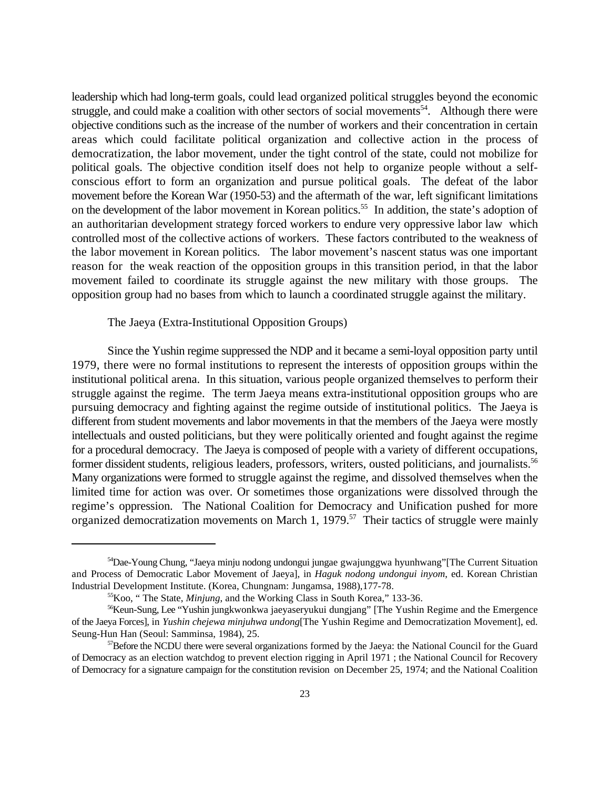leadership which had long-term goals, could lead organized political struggles beyond the economic struggle, and could make a coalition with other sectors of social movements<sup>54</sup>. Although there were objective conditions such as the increase of the number of workers and their concentration in certain areas which could facilitate political organization and collective action in the process of democratization, the labor movement, under the tight control of the state, could not mobilize for political goals. The objective condition itself does not help to organize people without a selfconscious effort to form an organization and pursue political goals. The defeat of the labor movement before the Korean War (1950-53) and the aftermath of the war, left significant limitations on the development of the labor movement in Korean politics.<sup>55</sup> In addition, the state's adoption of an authoritarian development strategy forced workers to endure very oppressive labor law which controlled most of the collective actions of workers. These factors contributed to the weakness of the labor movement in Korean politics. The labor movement's nascent status was one important reason for the weak reaction of the opposition groups in this transition period, in that the labor movement failed to coordinate its struggle against the new military with those groups. The opposition group had no bases from which to launch a coordinated struggle against the military.

The Jaeya (Extra-Institutional Opposition Groups)

Since the Yushin regime suppressed the NDP and it became a semi-loyal opposition party until 1979, there were no formal institutions to represent the interests of opposition groups within the institutional political arena. In this situation, various people organized themselves to perform their struggle against the regime. The term Jaeya means extra-institutional opposition groups who are pursuing democracy and fighting against the regime outside of institutional politics. The Jaeya is different from student movements and labor movements in that the members of the Jaeya were mostly intellectuals and ousted politicians, but they were politically oriented and fought against the regime for a procedural democracy. The Jaeya is composed of people with a variety of different occupations, former dissident students, religious leaders, professors, writers, ousted politicians, and journalists.<sup>56</sup> Many organizations were formed to struggle against the regime, and dissolved themselves when the limited time for action was over. Or sometimes those organizations were dissolved through the regime's oppression. The National Coalition for Democracy and Unification pushed for more organized democratization movements on March 1,  $1979$ .<sup>57</sup> Their tactics of struggle were mainly

<sup>&</sup>lt;sup>54</sup>Dae-Young Chung, "Jaeya minju nodong undongui jungae gwajunggwa hyunhwang" [The Current Situation and Process of Democratic Labor Movement of Jaeya], in *Haguk nodong undongui inyom*, ed. Korean Christian Industrial Development Institute. (Korea, Chungnam: Jungamsa, 1988),177-78.

<sup>&</sup>lt;sup>55</sup> Koo, "The State, *Minjung*, and the Working Class in South Korea," 133-36.

<sup>&</sup>lt;sup>56</sup>Keun-Sung, Lee "Yushin jungkwonkwa jaeyaseryukui dungjang" [The Yushin Regime and the Emergence of the Jaeya Forces], in *Yushin chejewa minjuhwa undong*[The Yushin Regime and Democratization Movement], ed. Seung-Hun Han (Seoul: Samminsa, 1984), 25.

 $<sup>57</sup>$ Before the NCDU there were several organizations formed by the Jaeya: the National Council for the Guard</sup> of Democracy as an election watchdog to prevent election rigging in April 1971 ; the National Council for Recovery of Democracy for a signature campaign for the constitution revision on December 25, 1974; and the National Coalition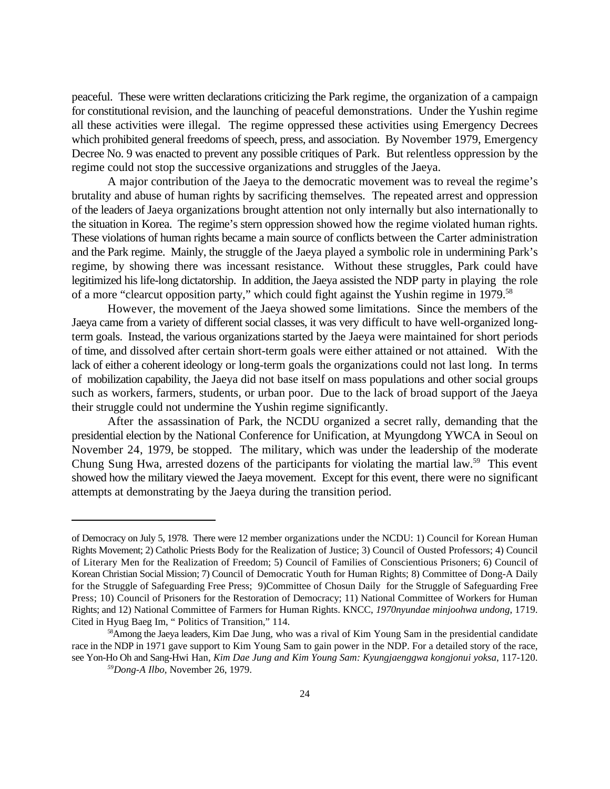peaceful. These were written declarations criticizing the Park regime, the organization of a campaign for constitutional revision, and the launching of peaceful demonstrations. Under the Yushin regime all these activities were illegal. The regime oppressed these activities using Emergency Decrees which prohibited general freedoms of speech, press, and association. By November 1979, Emergency Decree No. 9 was enacted to prevent any possible critiques of Park. But relentless oppression by the regime could not stop the successive organizations and struggles of the Jaeya.

A major contribution of the Jaeya to the democratic movement was to reveal the regime's brutality and abuse of human rights by sacrificing themselves. The repeated arrest and oppression of the leaders of Jaeya organizations brought attention not only internally but also internationally to the situation in Korea. The regime's stern oppression showed how the regime violated human rights. These violations of human rights became a main source of conflicts between the Carter administration and the Park regime. Mainly, the struggle of the Jaeya played a symbolic role in undermining Park's regime, by showing there was incessant resistance. Without these struggles, Park could have legitimized his life-long dictatorship. In addition, the Jaeya assisted the NDP party in playing the role of a more "clearcut opposition party," which could fight against the Yushin regime in 1979.<sup>58</sup>

However, the movement of the Jaeya showed some limitations. Since the members of the Jaeya came from a variety of different social classes, it was very difficult to have well-organized longterm goals. Instead, the various organizations started by the Jaeya were maintained for short periods of time, and dissolved after certain short-term goals were either attained or not attained. With the lack of either a coherent ideology or long-term goals the organizations could not last long. In terms of mobilization capability, the Jaeya did not base itself on mass populations and other social groups such as workers, farmers, students, or urban poor. Due to the lack of broad support of the Jaeya their struggle could not undermine the Yushin regime significantly.

After the assassination of Park, the NCDU organized a secret rally, demanding that the presidential election by the National Conference for Unification, at Myungdong YWCA in Seoul on November 24, 1979, be stopped. The military, which was under the leadership of the moderate Chung Sung Hwa, arrested dozens of the participants for violating the martial law.<sup>59</sup> This event showed how the military viewed the Jaeya movement. Except for this event, there were no significant attempts at demonstrating by the Jaeya during the transition period.

of Democracy on July 5, 1978. There were 12 member organizations under the NCDU: 1) Council for Korean Human Rights Movement; 2) Catholic Priests Body for the Realization of Justice; 3) Council of Ousted Professors; 4) Council of Literary Men for the Realization of Freedom; 5) Council of Families of Conscientious Prisoners; 6) Council of Korean Christian Social Mission; 7) Council of Democratic Youth for Human Rights; 8) Committee of Dong-A Daily for the Struggle of Safeguarding Free Press; 9)Committee of Chosun Daily for the Struggle of Safeguarding Free Press; 10) Council of Prisoners for the Restoration of Democracy; 11) National Committee of Workers for Human Rights; and 12) National Committee of Farmers for Human Rights. KNCC, *1970nyundae minjoohwa undong*, 1719. Cited in Hyug Baeg Im, " Politics of Transition," 114.

<sup>&</sup>lt;sup>58</sup> Among the Jaeya leaders, Kim Dae Jung, who was a rival of Kim Young Sam in the presidential candidate race in the NDP in 1971 gave support to Kim Young Sam to gain power in the NDP. For a detailed story of the race, see Yon-Ho Oh and Sang-Hwi Han, *Kim Dae Jung and Kim Young Sam: Kyungjaenggwa kongjonui yoksa*, 117-120.

*Dong-A Ilbo,* November 26, 1979. *<sup>59</sup>*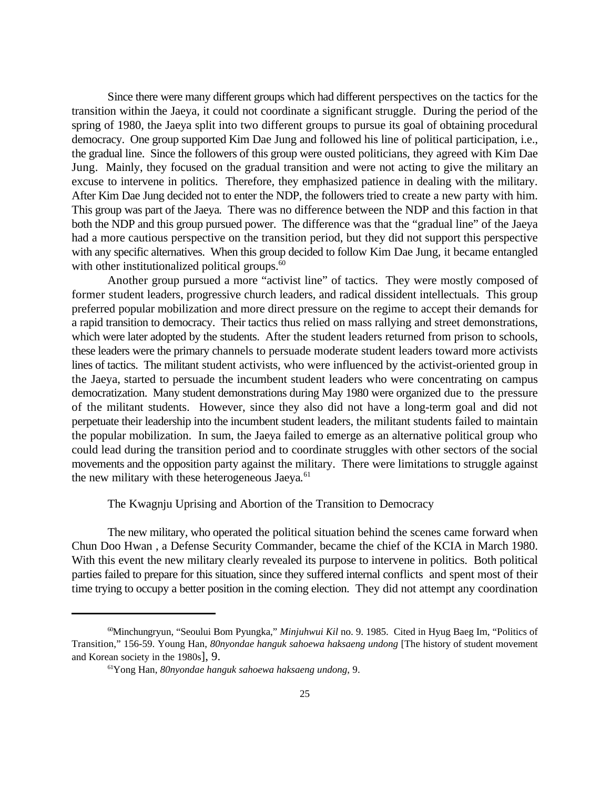Since there were many different groups which had different perspectives on the tactics for the transition within the Jaeya, it could not coordinate a significant struggle. During the period of the spring of 1980, the Jaeya split into two different groups to pursue its goal of obtaining procedural democracy. One group supported Kim Dae Jung and followed his line of political participation, i.e., the gradual line. Since the followers of this group were ousted politicians, they agreed with Kim Dae Jung. Mainly, they focused on the gradual transition and were not acting to give the military an excuse to intervene in politics. Therefore, they emphasized patience in dealing with the military. After Kim Dae Jung decided not to enter the NDP, the followers tried to create a new party with him. This group was part of the Jaeya*.* There was no difference between the NDP and this faction in that both the NDP and this group pursued power. The difference was that the "gradual line" of the Jaeya had a more cautious perspective on the transition period, but they did not support this perspective with any specific alternatives. When this group decided to follow Kim Dae Jung, it became entangled with other institutionalized political groups. $60$ 

Another group pursued a more "activist line" of tactics. They were mostly composed of former student leaders, progressive church leaders, and radical dissident intellectuals. This group preferred popular mobilization and more direct pressure on the regime to accept their demands for a rapid transition to democracy. Their tactics thus relied on mass rallying and street demonstrations, which were later adopted by the students. After the student leaders returned from prison to schools, these leaders were the primary channels to persuade moderate student leaders toward more activists lines of tactics. The militant student activists, who were influenced by the activist-oriented group in the Jaeya, started to persuade the incumbent student leaders who were concentrating on campus democratization. Many student demonstrations during May 1980 were organized due to the pressure of the militant students. However, since they also did not have a long-term goal and did not perpetuate their leadership into the incumbent student leaders, the militant students failed to maintain the popular mobilization. In sum, the Jaeya failed to emerge as an alternative political group who could lead during the transition period and to coordinate struggles with other sectors of the social movements and the opposition party against the military. There were limitations to struggle against the new military with these heterogeneous Jaeya*.* 61

# The Kwagnju Uprising and Abortion of the Transition to Democracy

The new military, who operated the political situation behind the scenes came forward when Chun Doo Hwan , a Defense Security Commander, became the chief of the KCIA in March 1980. With this event the new military clearly revealed its purpose to intervene in politics. Both political parties failed to prepare for this situation, since they suffered internal conflicts and spent most of their time trying to occupy a better position in the coming election. They did not attempt any coordination

<sup>&</sup>lt;sup>60</sup>Minchungryun, "Seoului Bom Pyungka," *Minjuhwui Kil* no. 9. 1985. Cited in Hyug Baeg Im, "Politics of Transition," 156-59. Young Han, *80nyondae hanguk sahoewa haksaeng undong* [The history of student movement and Korean society in the 1980s], 9.

<sup>&</sup>lt;sup>61</sup>Yong Han, *80nyondae hanguk sahoewa haksaeng undong*, 9.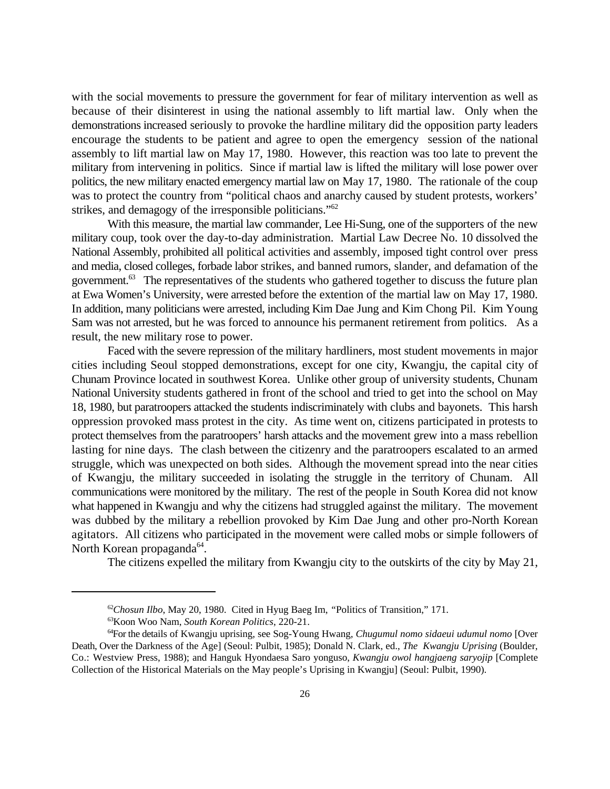with the social movements to pressure the government for fear of military intervention as well as because of their disinterest in using the national assembly to lift martial law. Only when the demonstrations increased seriously to provoke the hardline military did the opposition party leaders encourage the students to be patient and agree to open the emergency session of the national assembly to lift martial law on May 17, 1980. However, this reaction was too late to prevent the military from intervening in politics. Since if martial law is lifted the military will lose power over politics, the new military enacted emergency martial law on May 17, 1980. The rationale of the coup was to protect the country from "political chaos and anarchy caused by student protests, workers' strikes, and demagogy of the irresponsible politicians."<sup>62</sup>

With this measure, the martial law commander, Lee Hi-Sung, one of the supporters of the new military coup, took over the day-to-day administration. Martial Law Decree No. 10 dissolved the National Assembly, prohibited all political activities and assembly, imposed tight control over press and media, closed colleges, forbade labor strikes, and banned rumors, slander, and defamation of the government. <sup>63</sup> The representatives of the students who gathered together to discuss the future plan at Ewa Women's University, were arrested before the extention of the martial law on May 17, 1980. In addition, many politicians were arrested, including Kim Dae Jung and Kim Chong Pil. Kim Young Sam was not arrested, but he was forced to announce his permanent retirement from politics. As a result, the new military rose to power.

Faced with the severe repression of the military hardliners, most student movements in major cities including Seoul stopped demonstrations, except for one city, Kwangju, the capital city of Chunam Province located in southwest Korea. Unlike other group of university students, Chunam National University students gathered in front of the school and tried to get into the school on May 18, 1980, but paratroopers attacked the students indiscriminately with clubs and bayonets. This harsh oppression provoked mass protest in the city. As time went on, citizens participated in protests to protect themselves from the paratroopers' harsh attacks and the movement grew into a mass rebellion lasting for nine days. The clash between the citizenry and the paratroopers escalated to an armed struggle, which was unexpected on both sides. Although the movement spread into the near cities of Kwangju, the military succeeded in isolating the struggle in the territory of Chunam. All communications were monitored by the military. The rest of the people in South Korea did not know what happened in Kwangju and why the citizens had struggled against the military. The movement was dubbed by the military a rebellion provoked by Kim Dae Jung and other pro-North Korean agitators. All citizens who participated in the movement were called mobs or simple followers of North Korean propaganda<sup>64</sup>.

The citizens expelled the military from Kwangju city to the outskirts of the city by May 21,

<sup>&</sup>lt;sup>62</sup>Chosun Ilbo, May 20, 1980. Cited in Hyug Baeg Im, "Politics of Transition," 171.

<sup>&</sup>lt;sup>63</sup> Koon Woo Nam, *South Korean Politics*, 220-21.

For the details of Kwangju uprising, see Sog-Young Hwang*, Chugumul nomo sidaeui udumul nomo* [Over <sup>64</sup> Death, Over the Darkness of the Age] (Seoul: Pulbit, 1985); Donald N. Clark, ed., *The Kwangju Uprising* (Boulder, Co.: Westview Press, 1988); and Hanguk Hyondaesa Saro yonguso, *Kwangju owol hangjaeng saryojip* [Complete Collection of the Historical Materials on the May people's Uprising in Kwangju] (Seoul: Pulbit, 1990).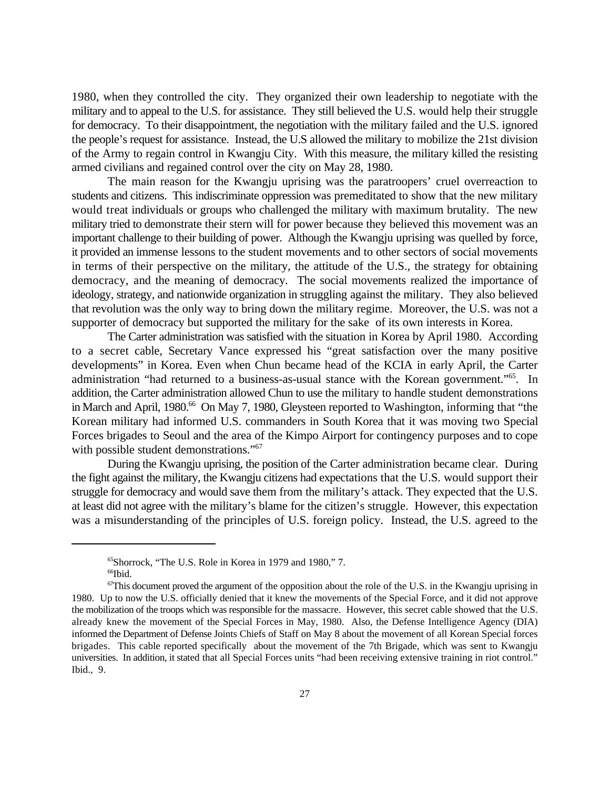1980, when they controlled the city. They organized their own leadership to negotiate with the military and to appeal to the U.S. for assistance. They still believed the U.S. would help their struggle for democracy. To their disappointment, the negotiation with the military failed and the U.S. ignored the people's request for assistance. Instead, the U.S allowed the military to mobilize the 21st division of the Army to regain control in Kwangju City. With this measure, the military killed the resisting armed civilians and regained control over the city on May 28, 1980.

The main reason for the Kwangju uprising was the paratroopers' cruel overreaction to students and citizens. This indiscriminate oppression was premeditated to show that the new military would treat individuals or groups who challenged the military with maximum brutality. The new military tried to demonstrate their stern will for power because they believed this movement was an important challenge to their building of power. Although the Kwangju uprising was quelled by force, it provided an immense lessons to the student movements and to other sectors of social movements in terms of their perspective on the military, the attitude of the U.S., the strategy for obtaining democracy, and the meaning of democracy. The social movements realized the importance of ideology, strategy, and nationwide organization in struggling against the military. They also believed that revolution was the only way to bring down the military regime. Moreover, the U.S. was not a supporter of democracy but supported the military for the sake of its own interests in Korea.

The Carter administration was satisfied with the situation in Korea by April 1980. According to a secret cable, Secretary Vance expressed his "great satisfaction over the many positive developments" in Korea. Even when Chun became head of the KCIA in early April, the Carter administration "had returned to a business-as-usual stance with the Korean government."<sup>65</sup>. In addition, the Carter administration allowed Chun to use the military to handle student demonstrations in March and April, 1980.<sup>66</sup> On May 7, 1980, Gleysteen reported to Washington, informing that "the Korean military had informed U.S. commanders in South Korea that it was moving two Special Forces brigades to Seoul and the area of the Kimpo Airport for contingency purposes and to cope with possible student demonstrations."<sup>67</sup>

During the Kwangju uprising, the position of the Carter administration became clear. During the fight against the military, the Kwangju citizens had expectations that the U.S. would support their struggle for democracy and would save them from the military's attack. They expected that the U.S. at least did not agree with the military's blame for the citizen's struggle. However, this expectation was a misunderstanding of the principles of U.S. foreign policy. Instead, the U.S. agreed to the

 $<sup>65</sup>$ Shorrock, "The U.S. Role in Korea in 1979 and 1980," 7.</sup>  $66$ Ibid.

 $\sigma$ This document proved the argument of the opposition about the role of the U.S. in the Kwangju uprising in 1980. Up to now the U.S. officially denied that it knew the movements of the Special Force, and it did not approve the mobilization of the troops which was responsible for the massacre. However, this secret cable showed that the U.S. already knew the movement of the Special Forces in May, 1980. Also, the Defense Intelligence Agency (DIA) informed the Department of Defense Joints Chiefs of Staff on May 8 about the movement of all Korean Special forces brigades. This cable reported specifically about the movement of the 7th Brigade, which was sent to Kwangju universities. In addition, it stated that all Special Forces units "had been receiving extensive training in riot control." Ibid., 9.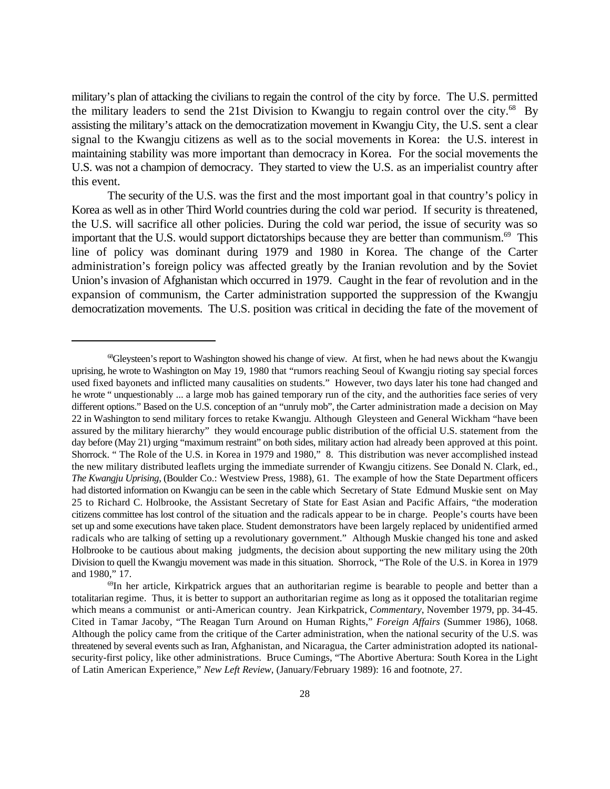military's plan of attacking the civilians to regain the control of the city by force. The U.S. permitted the military leaders to send the 21st Division to Kwangju to regain control over the city.<sup>68</sup> By assisting the military's attack on the democratization movement in Kwangju City, the U.S. sent a clear signal to the Kwangju citizens as well as to the social movements in Korea: the U.S. interest in maintaining stability was more important than democracy in Korea. For the social movements the U.S. was not a champion of democracy. They started to view the U.S. as an imperialist country after this event.

The security of the U.S. was the first and the most important goal in that country's policy in Korea as well as in other Third World countries during the cold war period. If security is threatened, the U.S. will sacrifice all other policies. During the cold war period, the issue of security was so important that the U.S. would support dictatorships because they are better than communism. $^{69}$  This line of policy was dominant during 1979 and 1980 in Korea. The change of the Carter administration's foreign policy was affected greatly by the Iranian revolution and by the Soviet Union's invasion of Afghanistan which occurred in 1979. Caught in the fear of revolution and in the expansion of communism, the Carter administration supported the suppression of the Kwangju democratization movements. The U.S. position was critical in deciding the fate of the movement of

<sup>&</sup>lt;sup>68</sup>Gleysteen's report to Washington showed his change of view. At first, when he had news about the Kwangju uprising, he wrote to Washington on May 19, 1980 that "rumors reaching Seoul of Kwangju rioting say special forces used fixed bayonets and inflicted many causalities on students." However, two days later his tone had changed and he wrote " unquestionably ... a large mob has gained temporary run of the city, and the authorities face series of very different options." Based on the U.S. conception of an "unruly mob", the Carter administration made a decision on May 22 in Washington to send military forces to retake Kwangju. Although Gleysteen and General Wickham "have been assured by the military hierarchy" they would encourage public distribution of the official U.S. statement from the day before (May 21) urging "maximum restraint" on both sides, military action had already been approved at this point. Shorrock. " The Role of the U.S. in Korea in 1979 and 1980," 8. This distribution was never accomplished instead the new military distributed leaflets urging the immediate surrender of Kwangju citizens. See Donald N. Clark, ed., *The Kwangju Uprising*, (Boulder Co.: Westview Press, 1988), 61. The example of how the State Department officers had distorted information on Kwangju can be seen in the cable which Secretary of State Edmund Muskie sent on May 25 to Richard C. Holbrooke, the Assistant Secretary of State for East Asian and Pacific Affairs, "the moderation citizens committee has lost control of the situation and the radicals appear to be in charge. People's courts have been set up and some executions have taken place. Student demonstrators have been largely replaced by unidentified armed radicals who are talking of setting up a revolutionary government." Although Muskie changed his tone and asked Holbrooke to be cautious about making judgments, the decision about supporting the new military using the 20th Division to quell the Kwangju movement was made in this situation. Shorrock, "The Role of the U.S. in Korea in 1979 and 1980," 17.

 $^{69}$ In her article, Kirkpatrick argues that an authoritarian regime is bearable to people and better than a totalitarian regime. Thus, it is better to support an authoritarian regime as long as it opposed the totalitarian regime which means a communist or anti-American country. Jean Kirkpatrick, *Commentary*, November 1979, pp. 34-45. Cited in Tamar Jacoby, "The Reagan Turn Around on Human Rights," *Foreign Affairs* (Summer 1986), 1068. Although the policy came from the critique of the Carter administration, when the national security of the U.S. was threatened by several events such as Iran, Afghanistan, and Nicaragua, the Carter administration adopted its nationalsecurity-first policy, like other administrations. Bruce Cumings, "The Abortive Abertura: South Korea in the Light of Latin American Experience," *New Left Review*, (January/February 1989): 16 and footnote, 27.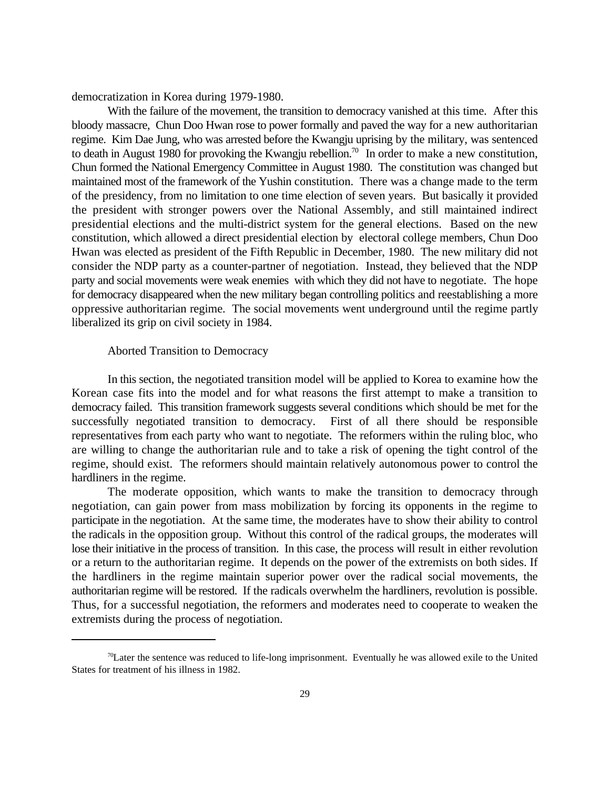democratization in Korea during 1979-1980.

With the failure of the movement, the transition to democracy vanished at this time. After this bloody massacre, Chun Doo Hwan rose to power formally and paved the way for a new authoritarian regime. Kim Dae Jung, who was arrested before the Kwangju uprising by the military, was sentenced to death in August 1980 for provoking the Kwangju rebellion.<sup>70</sup> In order to make a new constitution, Chun formed the National Emergency Committee in August 1980. The constitution was changed but maintained most of the framework of the Yushin constitution. There was a change made to the term of the presidency, from no limitation to one time election of seven years. But basically it provided the president with stronger powers over the National Assembly, and still maintained indirect presidential elections and the multi-district system for the general elections. Based on the new constitution, which allowed a direct presidential election by electoral college members, Chun Doo Hwan was elected as president of the Fifth Republic in December, 1980. The new military did not consider the NDP party as a counter-partner of negotiation. Instead, they believed that the NDP party and social movements were weak enemies with which they did not have to negotiate. The hope for democracy disappeared when the new military began controlling politics and reestablishing a more oppressive authoritarian regime. The social movements went underground until the regime partly liberalized its grip on civil society in 1984.

### Aborted Transition to Democracy

In this section, the negotiated transition model will be applied to Korea to examine how the Korean case fits into the model and for what reasons the first attempt to make a transition to democracy failed. This transition framework suggests several conditions which should be met for the successfully negotiated transition to democracy. First of all there should be responsible representatives from each party who want to negotiate. The reformers within the ruling bloc, who are willing to change the authoritarian rule and to take a risk of opening the tight control of the regime, should exist. The reformers should maintain relatively autonomous power to control the hardliners in the regime.

The moderate opposition, which wants to make the transition to democracy through negotiation, can gain power from mass mobilization by forcing its opponents in the regime to participate in the negotiation. At the same time, the moderates have to show their ability to control the radicals in the opposition group. Without this control of the radical groups, the moderates will lose their initiative in the process of transition. In this case, the process will result in either revolution or a return to the authoritarian regime. It depends on the power of the extremists on both sides. If the hardliners in the regime maintain superior power over the radical social movements, the authoritarian regime will be restored. If the radicals overwhelm the hardliners, revolution is possible. Thus, for a successful negotiation, the reformers and moderates need to cooperate to weaken the extremists during the process of negotiation.

 $\frac{70}{2}$ Later the sentence was reduced to life-long imprisonment. Eventually he was allowed exile to the United States for treatment of his illness in 1982.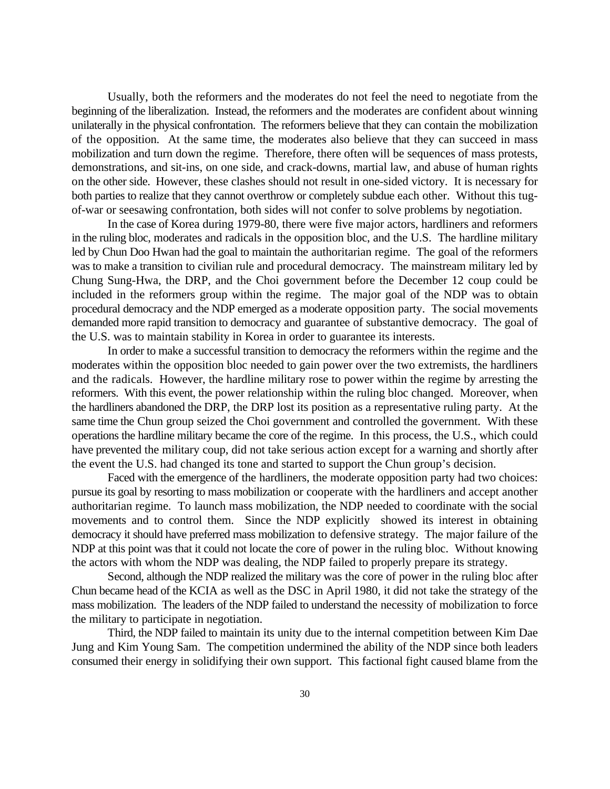Usually, both the reformers and the moderates do not feel the need to negotiate from the beginning of the liberalization. Instead, the reformers and the moderates are confident about winning unilaterally in the physical confrontation. The reformers believe that they can contain the mobilization of the opposition. At the same time, the moderates also believe that they can succeed in mass mobilization and turn down the regime. Therefore, there often will be sequences of mass protests, demonstrations, and sit-ins, on one side, and crack-downs, martial law, and abuse of human rights on the other side. However, these clashes should not result in one-sided victory. It is necessary for both parties to realize that they cannot overthrow or completely subdue each other. Without this tugof-war or seesawing confrontation, both sides will not confer to solve problems by negotiation.

In the case of Korea during 1979-80, there were five major actors, hardliners and reformers in the ruling bloc, moderates and radicals in the opposition bloc, and the U.S. The hardline military led by Chun Doo Hwan had the goal to maintain the authoritarian regime. The goal of the reformers was to make a transition to civilian rule and procedural democracy. The mainstream military led by Chung Sung-Hwa, the DRP, and the Choi government before the December 12 coup could be included in the reformers group within the regime. The major goal of the NDP was to obtain procedural democracy and the NDP emerged as a moderate opposition party. The social movements demanded more rapid transition to democracy and guarantee of substantive democracy. The goal of the U.S. was to maintain stability in Korea in order to guarantee its interests.

In order to make a successful transition to democracy the reformers within the regime and the moderates within the opposition bloc needed to gain power over the two extremists, the hardliners and the radicals. However, the hardline military rose to power within the regime by arresting the reformers. With this event, the power relationship within the ruling bloc changed. Moreover, when the hardliners abandoned the DRP, the DRP lost its position as a representative ruling party. At the same time the Chun group seized the Choi government and controlled the government. With these operations the hardline military became the core of the regime. In this process, the U.S., which could have prevented the military coup, did not take serious action except for a warning and shortly after the event the U.S. had changed its tone and started to support the Chun group's decision.

Faced with the emergence of the hardliners, the moderate opposition party had two choices: pursue its goal by resorting to mass mobilization or cooperate with the hardliners and accept another authoritarian regime. To launch mass mobilization, the NDP needed to coordinate with the social movements and to control them. Since the NDP explicitly showed its interest in obtaining democracy it should have preferred mass mobilization to defensive strategy. The major failure of the NDP at this point was that it could not locate the core of power in the ruling bloc. Without knowing the actors with whom the NDP was dealing, the NDP failed to properly prepare its strategy.

Second, although the NDP realized the military was the core of power in the ruling bloc after Chun became head of the KCIA as well as the DSC in April 1980, it did not take the strategy of the mass mobilization. The leaders of the NDP failed to understand the necessity of mobilization to force the military to participate in negotiation.

Third, the NDP failed to maintain its unity due to the internal competition between Kim Dae Jung and Kim Young Sam. The competition undermined the ability of the NDP since both leaders consumed their energy in solidifying their own support. This factional fight caused blame from the